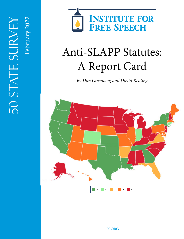

# Anti-SLAPP Statutes: A Report Card

*By Dan Greenberg and David Keating*

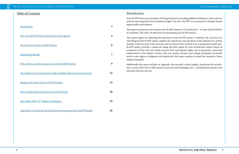# Table of Contents

| <b>Introduction</b>                                                   | 3                |
|-----------------------------------------------------------------------|------------------|
| How Anti-SLAPP Statutes Help Protect Free Speech                      | $\boldsymbol{4}$ |
| <b>The Structure of Anti-SLAPP Statutes</b>                           | 6                |
| <b>Summary of Results</b>                                             | 7                |
| <b>Policy Choices and Consequences of Anti-SLAPP Statutes</b>         | 9                |
| The Uniform Law Commission's Uniform Public Expression Protection Act | 12               |
| <b>Ratings and Grades of Anti-SLAPP Statutes</b>                      | 14               |
| How Good Is My Jurisdiction's Anti-SLAPP Law?                         | 20               |
| How States With "D" Grades Can Improve                                | 25               |

*[Appendix: A Jurisdiction-by-Jurisdiction Summary of Anti-SLAPP Statutes](#page-13-0)* **26**

# *Introduction*

Anti-SLAPP statutes prevent abuse of the legal system by providing additional defenses to those who are sued for exercising their First Amendment rights. The term "SLAPP" is an acronym for strategic lawsuit against public participation.

This report summarizes and evaluates anti-SLAPP statutes in 32 jurisdictions – 31 states and the District of Columbia. (The other 19 states have no functioning anti-SLAPP statute.)

This report begins by explaining the functions of anti-SLAPP statutes. It sketches the structure of a well-designed anti-SLAPP statute; explains the importance and operation of the elements of a statute; includes a brief account of the structure and functions of the Uniform Law Commission's model anti-SLAPP statute; provides a numerical rating and letter grade for each jurisdiction's statute, based on evaluations of how well each statute protects First Amendment rights; and recommends a particular improvement to the statutes of states with poor grades. Because such ratings and grades necessarily involve some degree of judgment and subjectivity, this report explains in detail the rationale of those ratings and grades.

Additionally, the report includes an Appendix that provides a plain-English, jurisdiction-by-jurisdiction account of the anti-SLAPP statute in each state and Washington D.C., including both statutory text and some relevant case law.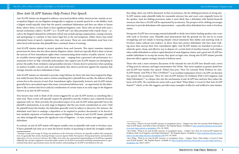# <span id="page-2-0"></span>*How Anti-SLAPP Statutes Help Protect Free Speech*

Anti-SLAPP statutes are designed to address a structural problem within American law: namely, an unscrupulous litigant can use litigation strategically to suppress or punish speech he or she dislikes. Such a litigant would typically claim that the speech constituted defamation and then sue others to harass them, silence them, or force them to bear significant litigation costs. Those who are faced with such a lawsuit (sometimes called a "SLAPP"1 or a "SLAPP suit") are often presented with a harsh choice – accede to the litigant's demand for settlement (which may include paying compensation, ceasing criticism, and apologizing) or continue to bear heavy legal fees as the suit progresses. Either choice may entail substantial losses of speech, reputation, time, and money. These are costs defendants must bear even when faced with lawsuits that plaintiffs have a minimal chance of winning.

Anti-SLAPP statutes attempt to protect speakers from such lawsuits. This report examines statutory protections for those who face these abusive litigation claims, which are typically filed to deter or harass the exercise of First Amendment rights when communicating about matters of public interest. A matter of public interest might include almost any topic – ranging from a governor's job performance to a restaurant review on Yelp. Generally, policymakers who support anti-SLAPP statutes are attempting to protect the public from retaliatory and groundless lawsuits. Citizens deserve protection when speaking on matters of public concern and, more particularly, they deserve protection against the expenses that strategic lawsuits can force defendants to bear.

Anti-SLAPP statutes are intended to provide a legal defense for those who have been targeted by litigation solely because they have said or written something that a plaintiff does not like; the defense of these actions lies in the exercise of one's First Amendment rights. Importantly, however, anti-SLAPP statutes generally have a procedural aspect that many conventional defenses lack – an opportunity for the defendant to file a motion that forces judicial consideration of certain issues at an early stage in the litigation (known as an anti-SLAPP motion).

Non-lawyers may wish to think of the events triggered by an anti-SLAPP motion as something like a mini-trial. These events will typically require the plaintiff to provide evidence and a relatively focused argument early on. More precisely, the procedural aspect of an anti-SLAPP statute generally forces the plaintiff to demonstrate, at an early stage in litigation, that the case merits consideration in court. Until the plaintiff meets this burden, the defendant generally won't be subject to discovery (for instance, the defendant won't have to undergo a deposition or be required to produce documents) or be forced to bear similarly expensive or burdensome aspects of litigation. Without an anti-SLAPP statute, plaintiffs can often strategically impose the significant costs of litigation – in time, money, and aggravation – on defendants.

In contrast, an anti-SLAPP statute will impose notable costs on plaintiffs with weak or frivolous cases. If those plaintiffs fail early on to meet the heavier burden of specifying in detail the wrongful conduct

they allege, their case will be dismissed. In that circumstance, the fee-shifting provisions of strong anti-SLAPP statutes make plaintiffs liable for reasonable attorney fees and court costs originally borne by the speaker. Such fee-shifting provisions make it more likely that a defendant with limited financial resources who faces a SLAPP will be represented by an attorney. The prospect of fee-shifting encourages attorneys to provide defendants with representation – especially when defendants face weak or frivolous claims.

Strong anti-SLAPP laws encourage potential plaintiffs to think twice before hauling speakers into court with weak or frivolous cases. Plaintiffs must demonstrate that the grounds for the suit lie in actual wrongdoing and not simply in hearing sharply critical statements they dislike and asserting weak or frivolous claims without real evidence. In short, these laws protect defendants who have done nothing more than exercise their First Amendment rights. Anti-SLAPP statutes are intended to provide a relatively quick, cheap, and effective way to dispose of a certain kind of meritless lawsuit. Such statutes often enable defendants to achieve rapid dismissal of weak litigation claims, and a good anti-SLAPP law enables defendants to recoup the money they spent on legal costs. Strong anti-SLAPP statutes provide deterrent effects against strategic lawsuits of dubious merit.

Those who seek a more extensive discussion of the rationale for anti-SLAPP laws should read a series of blog posts by attorney and legal commentator Ken White. That series explains in greater detail how anti-SLAPP laws further free speech. White's first post, "How Do Lawsuits Work Without An Anti-SLAPP Statute, And Why Is That A Problem?,"<sup>2</sup> is an excellent explanation of how a SLAPP can threaten free speech. His second post, "How Do Anti-SLAPP Statutes Fix Problems With Civil Litigation And Help Defendants?," is a deeper dive into the mechanisms of anti-SLAPP laws and how they reduce the harm of SLAPPs. He concludes his series with a post titled "What Makes A Good Or Bad Anti-SLAPP Statute?,"4 which, as the title suggests, provides many examples of effective and ineffective state statutes.

<sup>2</sup> Ken White, "What Is An Anti-SLAPP, Anyway? A Lawsplainer Series – Chapter One: How Do Lawsuits Work Without An

<sup>&</sup>lt;sup>1</sup> Penelope Canan and George W. Pring, two professors at the University of Denver, are typically credited with coining the term. *See* generally their article, *Studying Strategic Lawsuits Against Public Participation: Mixing Quantitative and Qualitative Approaches*, 22 Law & Society Review 385 (1988). Over time, the conventional understanding of a SLAPP has expanded: originally, the concept's originators viewed the subject matter of a SLAPP as necessarily involving communications to a government body about a government action, but the modern understanding of a SLAPP is not limited in this way.

Anti-SLAPP Statute, And Why Is That A Problem?," The Popehat Report. Available at: [https://popehat.substack.com/p/what](https://popehat.substack.com/p/what-is-an-anti-slapp-anyway-a-lawsplainer)[is-an-anti-slapp-anyway-a-lawsplainer](https://popehat.substack.com/p/what-is-an-anti-slapp-anyway-a-lawsplainer) (Oct. 26, 2020).

<sup>&</sup>lt;sup>3</sup> Ken White, "What Is An Anti-SLAPP, Anyway? A Lawsplainer Series – Chapter Two: How Do Anti-SLAPP Statutes Fix Problems With Civil Litigation And Help Defendants?," The Popehat Report. Available at: [https://popehat.substack.com/p/](https://popehat.substack.com/p/what-is-an-anti-slapp-anyway-a-lawsplainer-44b) [what-is-an-anti-slapp-anyway-a-lawsplainer-44b](https://popehat.substack.com/p/what-is-an-anti-slapp-anyway-a-lawsplainer-44b) (Oct. 29, 2020). <sup>4</sup> Ken White, "What Is An Anti-SLAPP, Anyway? A Lawsplainer Series – Chapter Three: What Makes A Good Or Bad Anti-SLAPP Statute?," The Popehat Report. Available at: [https://popehat.substack.com/p/what-is-an-anti-slapp-anyway-a](https://popehat.substack.com/p/what-is-an-anti-slapp-anyway-a-lawsplainer-46c)[lawsplainer-46c](https://popehat.substack.com/p/what-is-an-anti-slapp-anyway-a-lawsplainer-46c) (July 8, 2021).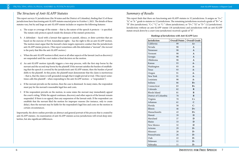# <span id="page-3-0"></span>*The Structure of Anti-SLAPP Statutes*

This report surveys 51 jurisdictions (the 50 states and the District of Columbia), finding that 32 of those jurisdictions have functioning anti-SLAPP statutes enacted prior to October 1, 2021. The details of these statutes vary, but by and large an anti-SLAPP statute includes or requires the following features:

- a. The scope or coverage of the statute that is, the nature of the speech it protects is specified. The statute only protects speech inside the domain of the statute's protection.
- b. A defendant faced with a lawsuit that appears to punish, silence, or deter activities that are based on the exercise of First Amendment rights – has the right to file an anti-SLAPP motion. The motion must argue that the lawsuit's claim targets expressive conduct that the jurisdiction's anti-SLAPP statute protects. (This report sometimes calls this defendant a "movant"; the *movant* is the party that files the anti-SLAPP *motion*.)
- c. When the anti-SLAPP motion is filed, most or all other aspects of the lawsuit (such as discovery) are suspended until the court makes a final decision on the motion.
- d. An anti-SLAPP motion typically triggers a two-step process, with the first step borne by the movant and the second step borne by the plaintiff. If the movant satisfies the burden of establishing that the speech is covered by the jurisdiction's anti-SLAPP statute, then the burden of proof shifts to the plaintiff. At this point, the plaintiff must demonstrate that the claim is meritorious – that is, that the claim is well-grounded enough that it might prevail at trial. (This report sometimes calls this plaintiff – when responding to the anti-SLAPP motion – a "respondent.")
- e. If the movant prevails on the motion, then the case is dismissed. In many states, the respondent must pay for the movant's reasonable legal fees and costs.
- f. If the respondent prevails on the motion, in some states the movant may immediately appeal the court's ruling. While the appeal continues, discovery and other aspects of the lawsuit remain suspended. If there is no appeal, then any suspension of the lawsuit ends. If the respondent can establish that the movant filed the motion for improper reasons (for instance, only to create delay), then the movant may be liable for the respondent's legal fees and costs on the motion in certain circumstances.

This report finds that there are functioning anti-SLAPP statutes in 32 jurisdictions. It assigns an "A+," "A," or "A-" grade to statutes in 12 jurisdictions. The remaining jurisdictions received a grade of "B+" or "B" (five jurisdictions), "C+," "C," or "C-" (three jurisdictions), or "D+," "D," or "D-" (12 jurisdictions). Jurisdictions without an anti-SLAPP statute (18 jurisdictions) and jurisdictions with an anti-SLAPP statute struck down by a court (one jurisdiction) received a grade of "F."

Importantly, the above outline provides an abstract and general portrait of the process that is created by anti-SLAPP statutes. An examination of anti-SLAPP statutes across jurisdictions will reveal deep similarities, but also significant differences.

# *Summary of Results*

| Jurisdiction         | <b>Overall Points</b> | <b>Overall Grade</b> |
|----------------------|-----------------------|----------------------|
| California           | 99                    | $A+$                 |
| Nevada               | 98                    | $\mathbf{A}$         |
| Tennessee            | 98                    | $\mathbf{A}$         |
| Vermont              | 98                    | $\mathbf{A}$         |
| Georgia              | 98                    | $\mathbf{A}$         |
| Oklahoma             | 98                    | $\mathbf{A}$         |
| Kansas               | 93                    | $A-$                 |
| Washington           | 93                    | $A-$                 |
| Texas                | 93                    | $A-$                 |
| Oregon               | 91                    | $A-$                 |
| New York             | 91                    | $A-$                 |
| Louisiana            | 90                    | $A-$                 |
| Indiana              | 86                    | $B+$                 |
| Connecticut          | 83                    | $B+$                 |
| Colorado             | 82                    | B                    |
| Rhode Island         | 81                    | B                    |
| District of Columbia | 78                    | $\bf{B}$             |
| Virginia             | 70                    | $C+$                 |
| Arkansas             | 61                    | $\mathbf C$          |
| Florida              | 50                    | $C -$                |
| Illinois             | 46                    | $D+$                 |
| Massachusetts        | 43                    | $D+$                 |
| Hawaii               | 39                    | D                    |
| Maryland             | 37                    | D                    |
| Maine                | 33                    | D                    |
| New Mexico           | 32                    | D                    |
| Arizona              | 29                    | $D-$                 |
| Missouri             | 28                    | D-                   |
| Pennsylvania         | 26                    | D-                   |
| Utah                 | 22                    | D-                   |
| Delaware             | 11                    | $D-$                 |
| Nebraska             | 11                    | D-                   |

| <b>ill Points</b> | <b>Overall Grade</b> |
|-------------------|----------------------|
| 99                | $A+$                 |
| 98                | $\mathbf{A}$         |
| 98                | ${\bf A}$            |
| 98                | $\mathbf{A}$         |
| 98                | $\mathbf{A}$         |
| 98                | $\mathbf A$          |
| 93                | $A-$                 |
| 93                | $A-$                 |
| 93                | $A-$                 |
| 91                | $A-$                 |
| 91                | $A-$                 |
| 90                | $A-$                 |
| 86                | $B+$                 |
| 83                | $B+$                 |
| 82                | B                    |
| 81                | B                    |
| 78                | B                    |
| 70                | $C+$                 |
| 61                | $\mathbf C$          |
| 50                | $C -$                |
| 46                | $D+$                 |
| 43                | $D+$                 |
| 39                | D                    |
| 37                | D                    |
| 33                | D                    |
| 32                | D                    |
| 29                | D-                   |
| 28                | D-                   |
| 26                | D-                   |
| 22                | $\overline{D}$ -     |
| 11                | D-                   |
| 11                | D-                   |

## **6** *BINSTITUTE FOR FREE SPEECH*

#### *Rankings of Jurisdictions with Anti-SLAPP Laws*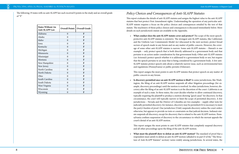<span id="page-4-0"></span>The following 19 states with no anti-SLAPP law each received 0 points in the study and an overall grade The following 19 states with no anti-SLAPP law each received 0 points in the study and an overall grade *Policy Choices and Consequences of Anti-SLAPP Statutes* of "F."

This report evaluates the details of anti-SLAPP statutes and assigns the highest value to the anti-SLAPP statutes that best protect First Amendment rights. Understanding the operation of any particular anti-SLAPP statute requires a focus on the policy choices and consequences entailed by the text of that statute. The machinery of those policy choices and consequences is discussed immediately below. More details on each jurisdiction's statute are available in the Appendix.

• **What conduct does the anti-SLAPP statute cover and protect?** The scope of the most speechprotective anti-SLAPP statutes is extensive. The strongest anti-SLAPP statutes, like California's and the Uniform Law Commission's Model Act (discussed in the next section), protect broad sectors of speech made in any forum and on any matter of public concern. However, the coverage of some other anti-SLAPP statutes is narrow. Some anti-SLAPP statutes – Hawaii's is one example – only protect speech that is both directly addressed to a government body and that pertains to an action under consideration by that government body. Other anti-SLAPP statutes (*see* Arizona's) protect speech whether it is addressed to a government body or not, but require that the speech pertains to an issue that is being considered by a government body. A few anti-SLAPP statutes protect speech only about a relatively narrow issue, such as environmental laws

Is discovery permitted once an anti-SLAPP motion is filed? In some jurisdictions, like Washington, the filing of an anti-SLAPP motion suspends all other litigation proceedings (for example, discovery proceedings) until the motion is resolved. In other jurisdictions, however, discovery after the filing of an anti-SLAPP motion is at the discretion of the court. California is an example of such a state. In these states, the court decides whether to allow continued discovery, typically requiring the plaintiff to produce a motion showing "good cause" for discovery. In that circumstance, the court will typically narrow or limit the scope of permitted discovery. A few jurisdictions – Nevada and the District of Columbia are two examples – supply other tests for judicially permitted discovery; for instance, discovery may be permitted if it is necessary to meet the party's burden of proof. One jurisdiction (Utah) suspends discovery unless the court orders otherwise, but appears to provide no tests or constraints on that judicial decision. Indiana's statute suspends all discovery, except for discovery that is related to the anti-SLAPP motion. Pennsylvania confines suspension of discovery to the circumstance in which the movant appeals the

and regulations (Pennsylvania) or public permits (Delaware).

This report assigns the most points to anti-SLAPP statutes that protect speech on any matter of public concern in any forum.

**What must the plaintiff show to defeat an anti-SLAPP motion?** The standard of proof that a respondent must satisfy to defeat an anti-SLAPP motion (alluded to in part D of the "The Structure of Anti-SLAPP Statutes" section) varies widely among jurisdictions. In several states, the

court's denial of an anti-SLAPP motion.

This report assigns the most points to anti-SLAPP statutes that completely suspend discovery and all other proceedings upon the filing of the anti-SLAPP motion.

| <b>States Without An</b><br><b>Anti-SLAPP Law</b> | <b>Overall Points</b> | <b>Overall Grade</b> |
|---------------------------------------------------|-----------------------|----------------------|
| Alabama                                           | $\overline{0}$        | F                    |
| Alaska                                            | $\theta$              | F                    |
| Idaho                                             | $\Omega$              | F                    |
| Iowa                                              | $\Omega$              | F                    |
| Kentucky                                          | $\theta$              | F                    |
| Michigan                                          | $\overline{0}$        | F                    |
| Minnesota                                         | $\Omega$              | F                    |
| Mississippi                                       | $\Omega$              | F                    |
| Montana                                           | $\theta$              | F                    |
| New Hampshire                                     | $\overline{0}$        | F                    |
| New Jersey                                        | $\Omega$              | F                    |
| North Carolina                                    | $\Omega$              | F                    |
| North Dakota                                      | $\Omega$              | F                    |
| Ohio                                              | $\overline{0}$        | F                    |
| South Carolina                                    | $\Omega$              | F                    |
| South Dakota                                      | $\theta$              | F                    |
| West Virginia                                     | $\Omega$              | F                    |
| Wisconsin                                         | $\overline{0}$        | F                    |
| Wyoming                                           | 0                     | F                    |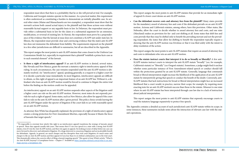respondent must show that there is a probability that he or she will prevail at trial. For example, California and Georgia's statutes operate in this manner. As a practical matter, this requirement is often understood as constituting a burden to demonstrate an initially plausible case. In several other states (Maine and Massachusetts are two examples), a respondent must show that the movant's actions both caused actual injury to the plaintiff and that those actions were without reasonable factual support or any arguable basis in law. In Delaware, the respondent must provide either a substantial basis in law for the claim or a substantial argument for an extension, modification, or reversal of existing law. In Hawaii, the respondent must prove by a preponderance of the evidence that the lawsuit at issue does not constitute a SLAPP suit under state law. In Illinois, the respondent must provide clear and convincing evidence that the state's anti-SLAPP law does not immunize the defendant from liability. The requirements imposed on the plaintiff in a few other jurisdictions are difficult to summarize, but all are described in the Appendix.

Is there a right of interlocutory appeal? If an anti-SLAPP motion is denied, several states, like Nevada and New Mexico, grant the movant a statutory right to interlocutory appeal of that ruling. In such circumstances, the case remains suspended until the anti-SLAPP motion is ultimately resolved. An "interlocutory" appeal, speaking generally, is a request to a higher court for it to decide a particular issue immediately. In most litigation, interlocutory appeals are difficult to obtain, so this right of appeal is an important feature of an anti-SLAPP law. Without it, a defendant who loses an anti-SLAPP motion would be forced to continue to litigate the entire trial before the finding on the motion could ever be appealed.

This report assigns the most points to anti-SLAPP statutes that come closest to the Uniform Law Commission Model Act, especially its requirement that a plaintiff "establish a prima facie case as to each essential element" of the lawsuit.

As attorney Ken White has eloquently explained, the provision of a right of interlocutory appeal creates a strong protection for First Amendment liberties, especially because it blunts the force of lawsuits that target speech.<sup>5</sup>

An interlocutory appeal on an anti-SLAPP motion suspends other aspects of the litigation until a higher court can rule on the anti-SLAPP motion. However, most states do not expressly provide for such a right of appeal. Some states, such as New Mexico, also allow for appeal if the court fails to rule on the anti-SLAPP motion after a given period. This policy choice avoids leaving the anti-SLAPP litigant under the specter of litigation if the court fails to act with reasonable speed on an anti-SLAPP motion.

This report assigns the most points to anti-SLAPP statutes that provide for an immediate right of appeal if a lower court denies an anti-SLAPP motion.

• **Can the defendant recover costs and attorney fees from the plaintiff?** Many states provide for the mandatory award of attorney fees and costs if the defendant prevails on an anti-SLAPP motion. Arizona and California's statutes, among others, have this provision. Other states, like Nebraska, allow the court to decide whether to award attorney fees and costs, and one state (Maryland) makes no provision for fee- and cost-shifting at all. Some states that shift fees and costs provide that they may be shifted only to benefit the prevailing movant and not the prevailing respondent; the states that allow fee-shifting to benefit the respondent typically require a showing that the anti-SLAPP motion was frivolous or that it was filed solely with the intent to

delay resolution of the action.

This report assigns the most points to anti-SLAPP statutes that require an award of attorney fees and costs to defendants who win an anti-SLAPP motion.

• **Does the statute instruct courts that interpret it to do so broadly or liberally?** A few anti-SLAPP statutes instruct courts to interpret the anti-SLAPP statute "broadly" (*see*, for example, California's statute) or "liberally" (*see* Oregon's statute). Sometimes, a judge might find it unclear whether some particular instance of First Amendment-related speech or conduct should fall within the protections granted by an anti-SLAPP statute. Generally, language that commands broad or liberal interpretation might increase the likelihood of the application of an anti-SLAPP statute by interpretively giving that speech or conduct the benefit of the doubt. Conversely, anti-SLAPP statutes that lack instructions for broad or liberal interpretation might face an increased likelihood that a court would, in practice, narrow their scope; for example, by requiring more exacting tests for an anti-SLAPP motion's success than those in the statute. Missouri is one state where its anti-SLAPP statute has been interpreted through case law due to a lack of instruction

about judicial interpretation.

This report assigns the most points to anti-SLAPP statutes that expressly encourage courts to read the statutory language expansively to protect free speech.

The Appendix contains a detailed account of each jurisdiction's anti-SLAPP statute within its scope; in some instances, these summaries include notes about the interaction of relevant case law with the statute's operations.

<sup>&</sup>lt;sup>5</sup> "It's impossible to overstate how utterly [the right to an interlocutory appeal] transforms the strategy of lawsuits aimed at speech. These days appeals usually take years. That means that if I sue over speech in a state with a strong Anti-SLAPP statute, even if I win the Anti-SLAPP motion, and then win again on appeal, I'm looking at years of delay before my case can move forward to discovery and substantive litigation. It's a huge deterrent to censorious litigation and an incalculable benefit for defendants. Appeals, in general, are much cheaper and less disruptive than trial court litigation; it's much easier and cheaper to file an Anti-SLAPP motion and then appeal it if you lose than it is to defend a defamation case in the trial court. This dramatically reduces the coercive effect of filing a lawsuit targeting speech." This quote is from White's article, "What Is An Anti-SLAPP, Anyway? A Lawsplainer Series – Chapter 3." Available at: [https://popehat.substack.com/p/what-is-an-anti](https://popehat.substack.com/p/what-is-an-anti-slapp-anyway-a-lawsplainer-46c)[slapp-anyway-a-lawsplainer-46c.](https://popehat.substack.com/p/what-is-an-anti-slapp-anyway-a-lawsplainer-46c)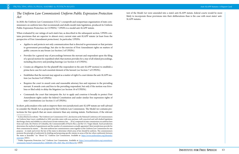# <span id="page-6-0"></span>*The Uniform Law Commission's Uniform Public Expression Protection Act*

In 2020, the Uniform Law Commission (ULC),<sup>6</sup> a nonprofit and nonpartisan organization of state commissioners on uniform laws that recommends and drafts model state legislation, produced its Uniform Public Expression Protection Act (UPEPA).<sup>7</sup> UPEPA is a model anti-SLAPP statute.

When evaluated by our ratings of each state's law, as described in the subsequent section, UPEPA contains provisions that are superior to almost every current state anti-SLAPP statute (at least from the perspective of First Amendment protections). In particular, UPEPA:

- Applies to and protects not only communication that is directed to government or that pertains to government proceedings, but also to the exercise of First Amendment rights on matters of public concern in any forum (*see* Section 2 of UPEPA).
- Provides for a general stay of proceedings between the movant and respondent upon the filing of a special motion for expedited relief; that motion provides for a stay of all related proceedings, including discovery and pending hearings (*see* Section 4 of UPEPA).
- • Creates an obligation for the plaintiff (the respondent in the anti-SLAPP motion) to establish a prima facie case for each essential element of the lawsuit (*see* Section 7 of UPEPA).
- Establishes that the movant may appeal as a matter of right if a court denies the anti-SLAPP motion (*see* Section 9 of UPEPA).
- Requires the court to award costs and reasonable attorney fees and expenses to the prevailing movant. It awards costs and fees to the prevailing respondent, but only if the motion was frivolous or filed solely to delay the litigation (*see* Section 10 of UPEPA).
- Commands the court that interprets the Act to apply and construe it broadly to protect First Amendment rights under the federal Constitution and under similar free expression rights of state Constitutions (*see* Section 11 of UPEPA).

In short, policymakers who seek to improve their own jurisdiction's anti-SLAPP statute are well-advised to consider the Model Act as proposed by the Uniform Law Commission. The Model Act contains protections for free speech that are more extensive than any existing statute. Furthermore, if the relevant

text of the Model Act were amended into a state's anti-SLAPP statute, federal courts would be more likely to incorporate those provisions into their deliberations than is the case with most states' anti-SLAPP statutes.

<sup>6</sup> As described on its website, "The Uniform Law Commission (ULC, also known as the National Conference of Commissioners on Uniform State Laws), established in 1892, provides states with non-partisan, well-conceived and well-drafted legislation that brings clarity and stability to critical areas of state statutory law…. [It is] comprised of state commissions on uniform laws from each state, the District of Columbia, the Commonwealth of Puerto Rico, and the U.S. Virgin Islands. Each jurisdiction determines the method of appointment and the number of commissioners actually appointed. Most jurisdictions provide for their commission by statute…. The state uniform law commissioners come together as the Uniform Law Commission for one purpose – to study and review the law of the states to determine which areas of law should be uniform. The commissioners promote the principle of uniformity by drafting and proposing specific statutes in areas of the law where uniformity between the states is desirable." *See* "About Us," Uniform Law Commission. Available at: [https://www.uniformlaws.org/aboutulc/](https://www.uniformlaws.org/aboutulc/overview) [overview](https://www.uniformlaws.org/aboutulc/overview) (2021).

<sup>&</sup>lt;sup>7</sup> "Public Expression Protection Act," Uniform Law Commission. Available at: [https://www.uniformlaws.org/committees/](https://www.uniformlaws.org/committees/community-home?CommunityKey=4f486460-199c-49d7-9fac-05570be1e7b1) [community-home?CommunityKey=4f486460-199c-49d7-9fac-05570be1e7b1](https://www.uniformlaws.org/committees/community-home?CommunityKey=4f486460-199c-49d7-9fac-05570be1e7b1) (2020).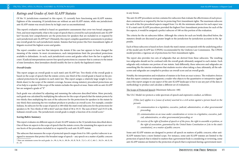# <span id="page-7-0"></span>*Ratings and Grades of Anti-SLAPP Statutes*

Of the 51 jurisdictions examined in this report, 32 currently have functioning anti-SLAPP statutes. Eighteen of the remaining 19 jurisdictions are without an anti-SLAPP statute, while one jurisdiction's anti-SLAPP statute was struck down by its high court as unconstitutional.

This report's evaluative method is based on quantitative assessments that cover two broad categories. First, and most importantly, what is the scope of speech that is covered by each jurisdiction's anti-SLAPP law? Second, how comprehensive are the protections for speakers that are included in or required by each jurisdiction's anti-SLAPP law? Ultimately, this report compiles quantitative assessments to produce one overall grade for each jurisdiction's statute. Statutes that best protect the First Amendment rights of litigants received the highest scores and grades.

This report assigns an overall grade to each state's anti-SLAPP law. Two-thirds of the overall grade is based on the scope of speech that the statute covers; one-third of the overall grade is based on the procedural protections for speakers in each state's law. This report assigns a relatively large weight (a twothirds share) to the scope of the statute's coverage, because strong statutory procedural protections are of no help to a speaker if the scope of the statute excludes the speech at issue. States with no anti-SLAPP law are assigned a grade of "F."

Each grade was calculated by adjusting and summing the subscores described below. More precisely, each grade was calculated by multiplying the subscore for the scope of speech that the statute protects by two-thirds; then multiplying the sum of the subscores for the protections for speakers in the statute by one-third; then summing the two resultant products to produce an overall score. For example, consider Indiana. Its subscore for the scope of speech is 100 while the state's total subscores for the protections for speakers is 58. Two-thirds of 100 is 66.67 and one-third of 58 is 19.33. The sum of 66.67 and 19.33 is 86, Indiana's overall score. The jurisdiction's overall grade is simply a function of its overall score.<sup>8</sup>

The report considers case law that interprets the statute if the case law appears to have changed the meaning of the statute. In most circumstances, such interpretations limit the procedural protections available to defendants. As such, each jurisdiction's scores and grades reflect how the law is applied in court. If judicial interpretations narrow free speech protections in a manner that is contrary to the intent of state lawmakers, then lawmakers should modify the law to clarify the legislature's intent.

#### *Overall Grades*

#### *Scoring Rubric Summary*

This report evaluates six different aspects of anti-SLAPP statutes in the 32 jurisdictions described above. One of these six aspects is the scope of speech that the statute covers; the remaining five aspects are various facets of the procedures included in or required by each anti-SLAPP statute.

The subscore that measures the scope of protected speech ranges from 0 to 100: a perfect subscore is assigned to measures that protect the broadest range of speech – any speech on a matter of public concern in any forum.

The anti-SLAPP procedures section contains five subscores that evaluate the effectiveness of each procedure contained in or required by the law in protecting First Amendment rights. The maximum subscore for each of the five procedural aspects ranged from 3 to 40; the minimum subscore for each aspect was 0. If a state's anti-SLAPP procedures provided the highest First Amendment protections for each of the five aspects, it would be assigned a perfect subscore of 100 on this portion of the evaluation.

The criteria for the six subscores follow. Although the criteria for each are briefly described below, the statutory details are discussed at greater length in the jurisdiction-by-jurisdiction accounts in the Appendix.

Each of these subscores is based on how closely the state's statute corresponds with the underlying policy of the model anti-SLAPP law (UPEPA) recommended by the Uniform Law Commission. The UPEPA model provides a vigorous set of protections for First Amendment rights.

The report also provides two sets of subgrades that are derived from these subscores. The resulting two subgrades should not be confused with the overall grade ultimately assigned to each statute. Each subgrade only evaluates one portion of one statute. Said differently, these subscores and subgrades are something like the interim evaluations that students receive when taking a class; ultimately, all the subscores and subgrades are compiled to produce an overall score and an overall grade.

Notably, the interpretation and evaluation of statutes is far from an exact science. The evaluative choices that this report contains are transparent; a reader who objects to the quantitative or interpretive significance this report assigns to any aspect of the anti-SLAPP landscape is free to use any part of the data or methodology to produce and calculate a different set of evaluations.

The Scope of Protected Speech (Maximum Subscore: 100)

The ULC Model Act protects a wide spectrum of speech and expressive conduct, as follows:

*[T]his [act] applies to a [cause of action] asserted in a civil action against a person based on the person's:*

(1) *communication in a legislative, executive, judicial, administrative, or other governmental* 

(2) *communication on an issue under consideration or review in a legislative, executive, judi-*

- *proceeding;*
- *cial, administrative, or other governmental proceeding; or*
- *constitution], on a matter of public concern.*

(3) *exercise of the right of freedom of speech or of the press, the right to assemble or petition, or the right of association, guaranteed by the United States Constitution or [cite to the state's* 

Some anti-SLAPP statutes are designed to protect all speech on matters of public concern; other anti-SLAPP statutes have a more limited scope. For instance, some anti-SLAPP statutes are limited to the protection of speech that is related to matters that a government body is considering or reviewing, some anti-SLAPP statutes are limited to the protection of speech that is expressed during a government meet-

<sup>8</sup> Here are minimum scores for each grade: A+, 99; A, 94; A-, 89; B+, 83; B, 78; B-, 72; C+, 67; C, 60; C-, 50; D+, 40; D, 30; D-, 10.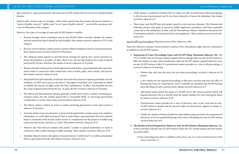ing or directly to a government body, and some anti-SLAPP statutes have an even more sharply limited domain.

Statutes with a broad scope of coverage – those which specify that they protect all speech related to a "matter of public concern," "public issue," or an "issue of public interest" – received the maximum subscore of 100 points in this category.

However, the scope of coverage of some anti-SLAPP statutes is smaller.

- Because Georgia courts sometimes read its anti-SLAPP statute narrowly (despite the statute's internal instruction that it should be read broadly), that statute received a subscore of 97 in this category.
- • Because several statutes contain narrow content-related exemptions from its broad protections, those statutes each received a subscore of 90 points.
- The Arkansas statute appears to provide broad coverage for speech, but a more restrictive judicial interpretation is possible. To date, there is no case law that analyzes the scope of speech protected by the law; therefore, the statute received a subscore of 70 points.
- Because Florida's statute protects both statements made before a governmental entity and statements made in connection with created texts, such as books, plays, news articles, and movies, that statute received a subscore of 65.
- • Maryland's brief and unusually worded law also limits the amount of speech potentially covered. It defines a SLAPP suit in part as one that is "[b]rought in bad faith" and "[i]ntended to inhibit or inhibits the exercise of rights under the First Amendment." In effect, this standard narrows the scope of speech protected by the law. As such, the law received a subscore of 50 points.
- The Maine and Massachusetts statutes generally confine their reach to matters involving government action, but also include speech that is "reasonably likely" to encourage government consideration or review; these states each received a subscore of 30.
- The Illinois statute confines its reach to matters involving government action and received a subscore of 20 points.
- Arizona's statute covers two domains: it protects both speech that is made as part of an initiative, referendum, or recall effort and speech that is made before a governmental (but non-judicial) body in connection with an issue under review or consideration for the purpose of influencing a governmental action, decision, or result. That statute received a subscore of 15.
- Missouri and New Mexico's statutes only protect "conduct or speech undertaken or made in connection with a public hearing or public meeting;" those statutes received a subscore of 10.
- Similarly, Hawaii's statute only applies to lawsuits that are "solely based" on "public participation before a governmental body; that statute received a subscore of 10.

• Three states' anti-SLAPP laws only protect speech in even narrower domains. The Delaware and Nebraska statutes only apply to speech by public applicants, permittees, and those materially connected to the entitlement at issue, and the Pennsylvania statute is limited to the protection of statements related to environmental laws and regulations. Those statutes each received sub-

> A few statutes do not suspend proceedings or discovery, but they may have the effect of limiting discovery by requiring the court to schedule an expedited anti-SLAPP hearing

• Utah's statute is confined to lawsuits that (a) target acts that are performed while participating in the process of government and (b) are done primarily to harass the defendant; that statute

- received a subscore of 7.
- scores of 3.

Anti-SLAPP Law Procedures (Maximum Sum of Five Subscores: 100)

These five subscores measure various features to protect First Amendment rights that are contained in or implied by anti-SLAPP statutes.

1) **Suspension of Court Proceedings Upon Anti-SLAPP Filing (Maximum Subscore: 20).** The ULC's UPEPA and several state statutes suspend all proceedings when an anti-SLAPP motion is filed; the statutes of many other jurisdictions with anti-SLAPP statutes suspend discovery once an anti-SLAPP motion is filed. If a jurisdiction's statute provides for a stay of all proceedings, it

• Statutes that only stay discovery, but not other proceedings, received a subscore of 18

• Maryland's statute allows the target of a SLAPP suit to file various motions which will impede discovery, but it is unclear from the statute whether the court must grant them;

- received a subscore of 20 points.
	- points.
	- upon the filing of such a motion; those statutes received subscores of 5.
	- its statute received a subscore of 10.
	- ceived a subscore of 2.
	- received subscores of 0.
- succeed if either:
	- *[cause of action]; or*

• Pennsylvania's statute provides for a stay of discovery only in the event that an anti-SLAPP motion is denied and the movant makes an interlocutory appeal; its statute re-

• Finally, the statutes of those jurisdictions that neither make provisions for suspension of discovery nor for an expedited hearing in the event of the filing of an anti-SLAPP motion

2) **The Burden of Proof Required to Defeat an Anti-SLAPP Motion (Maximum Subscore: 12).** In the event that a relevant anti-SLAPP motion is filed, the ULC model requires that the motion

(A)*the responding party fails to establish a prima facie case as to each essential element of the*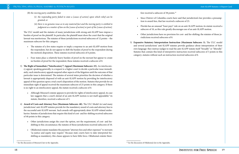(B) *the moving party establishes that:*

- (i) *the responding party failed to state a [cause of action] upon which relief can be granted; or*
- (ii) *there is no genuine issue as to any material fact and the moving party is entitled to judgment as a matter of law on the [cause of action] or part of the [cause of action].*

The ULC model and the statutes of many jurisdictions with strong anti-SLAPP laws impose a burden of proof on the plaintiff. In particular, the plaintiff must show the court that the original lawsuit was meritorious. The statutes of these jurisdictions received subscores of 12 points – the maximum subscore for this category.

- The statutes of a few states require or imply a response to an anti-SLAPP motion from the respondent, but do not appear to shift the burden of proof to the respondent during the motion's disposition. These statutes received subscores of 6 points.
- Four states place a relatively heavy burden of proof on the movant but appear to create no burden of proof for the respondent; these statutes received a subscore of 0.
- 3) **The Right of Immediate ("Interlocutory") Appeal (Maximum Subscore: 25).** An interlocutory appeal, speaking generally, is a request to a higher court to decide a particular issue immediately; such interlocutory appeals suspend other aspects of the litigation until the outcome of that particular issue is determined. The statutes of several states prioritize the decision of whether a lawsuit is appropriately disposed of with an anti-SLAPP motion by providing for interlocutory appeal of this question upon a trial court's disposition of the motion. Statutes that provide for an immediate right of appeal received the maximum subscore of 25 points in this category. If there is no right to an interlocutory appeal, the statute received a subscore of 0.
	- Although Missouri's statute appears to provide for rights of interlocutory appeal, its case law suggests that a court's denial of an anti-SLAPP motion is not itself appealable;<sup>9</sup> its statute, therefore, received a subscore of 5.
- 4) **Award of Costs and Attorney Fees (Maximum Subscore: 40).** The ULC Model Act and many jurisdictions' anti-SLAPP statutes provide for the mandatory award of costs and attorney fees to the successful anti-SLAPP movant. Such awards will appropriately deter SLAPP-related misbehavior. Statutes of jurisdictions that require this kind of cost- and fee-shifting received subscores of 40 points in this category.
	- • Other jurisdictions assign the court the option, not the requirement, of cost- and feeshifting in this circumstance; the statutes of those jurisdictions received subscores of 10.
	- Oklahoma's statute mandates the payment "attorney fees and other expenses" to movants "as justice and equity may require." Because state courts have to date interpreted feeshifting as mandatory, this clause appears to have little force. Oklahoma's statute there-

• Florida has an unusual "loser pays" rule on an anti-SLAPP motion; its statute received a subscore of 10, as this rule greatly discourages use of an anti-SLAPP motion.

• Other jurisdictions have no provision for cost- and fee-shifting; the statutes of those ju-

fore received a subscore of 38 points.10

- tion to award fees, that law received a subscore of 25.
- 
- risdictions received subscores of 0.
- category; statutes without such an instruction received subscores of 0.

• Since District of Columbia courts have said that jurisdiction's law provides a presump-

5) **Expansive Statutory Interpretation Instruction (Maximum Subscore: 3).** The ULC model and several jurisdictions' anti-SLAPP statutes provide guidance about interpretation of their own language: they instruct judges to read the anti-SLAPP statute itself "broadly" or "liberally." Statutes that contain this kind of interpretive instruction received subscores of 3 points in this

<sup>&</sup>lt;sup>9</sup> See the discussion of Missouri's law in the Appendix.

<sup>&</sup>lt;sup>10</sup> See the discussion of Oklahoma's law in the Appendix.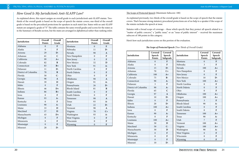# <span id="page-10-0"></span>*How Good Is My Jurisdiction's Anti-SLAPP Law?*

As explained above, this report assigns an overall grade to each jurisdiction's anti-SLAPP statute. Twothirds of the overall grade is based on the scope of speech the statute covers; one-third of the overall grade is based on the procedural protections for speakers in each state's law. States with no anti-SLAPP statute are assigned a grade of "F." The table contains the same overall grades and scores for the states as in the Summary of Results section, but the states are arranged in alphabetical rather than ranking order. The Scope of Protected Speech (Maximum Subscore: 100)

As explained previously, two-thirds of the overall grade is based on the scope of speech that the statute covers. That's because strong statutory procedural protections are of no help to a speaker if the scope of the statute excludes the speech at issue.

Statutes with a broad scope of coverage – those which specify that they protect all speech related to a "matter of public concern," a "public issue," or an "issue of public interest" - received the maximum subscore of 100 points in this category.

Here's how each jurisdiction scores on this portion of the evaluation.

### *The Scope of Protected Speech* ( $\overline{I}$

| Jurisdiction         | Overall          | Overall                 |
|----------------------|------------------|-------------------------|
|                      | <b>Points</b>    | Grade                   |
| Alabama              | $\boldsymbol{0}$ | F                       |
| Alaska               | $\overline{0}$   | F                       |
| Arizona              | 29               | D-                      |
| Arkansas             | 61               | $\overline{\mathsf{C}}$ |
| California           | 99               | $A+$                    |
| Colorado             | 82               | B                       |
| Connecticut          | 83               | $B+$                    |
| Delaware             | 11               | D-                      |
| District of Columbia | 78               | $\bf{B}$                |
| Florida              | 50               | $C -$                   |
| Georgia              | 98               | $\overline{A}$          |
| Hawaii               | 39               | D                       |
| Idaho                | $\overline{0}$   | F                       |
| Illinois             | 46               | $D+$                    |
| Indiana              | 86               | $B+$                    |
| Iowa                 | $\overline{0}$   | F                       |
| Kansas               | 93               | $A-$                    |
| Kentucky             | $\overline{0}$   | F                       |
| Louisiana            | 90               | $A-$                    |
| Maine                | 33               | D                       |
| Maryland             | 37               | D                       |
| Massachusetts        | 43               | $D+$                    |
| Michigan             | $\mathbf{0}$     | $\mathbf F$             |
| Minnesota            | $\boldsymbol{0}$ | F                       |
| Mississippi          | $\mathbf{0}$     | $\mathbf F$             |
| Missouri             | 28               | $D-$                    |

| Jurisdiction   | Overall<br><b>Points</b> | Overall<br>Grade |
|----------------|--------------------------|------------------|
| Montana        | $\overline{0}$           | F                |
| Nebraska       | 11                       | $D-$             |
| Nevada         | 98                       | $\mathbf{A}$     |
| New Hampshire  | $\overline{0}$           | F                |
| New Jersey     | $\overline{0}$           | F                |
| New Mexico     | 32                       | D                |
| New York       | 91                       | $A-$             |
| North Carolina | $\overline{0}$           | F                |
| North Dakota   | $\overline{0}$           | F                |
| Ohio           | $\overline{0}$           | F                |
| Oklahoma       | 98                       | $\mathbf{A}$     |
| Oregon         | 91                       | $A-$             |
| Pennsylvania   | 26                       | $D-$             |
| Rhode Island   | 81                       | B                |
| South Carolina | $\overline{0}$           | F                |
| South Dakota   | $\overline{0}$           | F                |
| Tennessee      | 98                       | $\mathbf{A}$     |
| <b>Texas</b>   | 93                       | $A -$            |
| Utah           | 22                       | $D-$             |
| Vermont        | 98                       | $\mathbf{A}$     |
| Virginia       | 70                       | $C+$             |
| Washington     | 93                       | $A -$            |
| West Virginia  | $\boldsymbol{0}$         | F                |
| Wisconsin      | $\overline{0}$           | F                |
| Wyoming        | $\mathbf{0}$             | F                |

| Jurisdiction         | Covered<br>Speech<br><b>Points</b> | Covered<br>Speech<br>Subgrade | Jurisdiction   | Covered<br>Speech<br><b>Points</b> | Covered<br>Speech<br>Subgrade |
|----------------------|------------------------------------|-------------------------------|----------------|------------------------------------|-------------------------------|
| Alabama              | $\overline{0}$                     | $\mathbf{F}$                  | Montana        | $\overline{0}$                     | $\mathbf{F}$                  |
| Alaska               | $\theta$                           | F                             | Nebraska       | 3                                  | F                             |
| Arizona              | 15                                 | $D-$                          | Nevada         | 100                                | $A+$                          |
| Arkansas             | 70                                 | $C+$                          | New Hampshire  | $\overline{0}$                     | $\mathbf{F}$                  |
| California           | 100                                | $A+$                          | New Jersey     | $\overline{0}$                     | F                             |
| Colorado             | 75                                 | $B -$                         | New Mexico     | 10                                 | $D-$                          |
| Connecticut          | 90                                 | $A-$                          | New York       | 100                                | $A+$                          |
| Delaware             | $\overline{3}$                     | $\mathbf{F}$                  | North Carolina | $\overline{0}$                     | $\mathbf{F}$                  |
| District of Columbia | 90                                 | $A-$                          | North Dakota   | $\overline{0}$                     | $\mathbf{F}$                  |
| Florida              | 65                                 | $\overline{C}$                | Ohio           | $\overline{0}$                     | F                             |
| Georgia              | 97                                 | $\mathbf{A}$                  | Oklahoma       | 100                                | $A+$                          |
| Hawaii               | 10                                 | $D-$                          | Oregon         | 100                                | $A+$                          |
| Idaho                | $\theta$                           | $\mathbf{F}$                  | Pennsylvania   | $\overline{3}$                     | $\mathbf{F}$                  |
| Illinois             | 20                                 | $D-$                          | Rhode Island   | 90                                 | $A-$                          |
| Indiana              | 100                                | $A+$                          | South Carolina | $\overline{0}$                     | $\mathbf{F}$                  |
| Iowa                 | $\theta$                           | $\mathbf{F}$                  | South Dakota   | $\overline{0}$                     | $\mathbf{F}$                  |
| Kansas               | 90                                 | $A-$                          | Tennessee      | 100                                | $A+$                          |
| Kentucky             | $\theta$                           | $\mathbf{F}$                  | <b>Texas</b>   | 90                                 | $A-$                          |
| Louisiana            | 100                                | $A+$                          | Utah           | $\overline{7}$                     | $\mathbf{F}$                  |
| Maine                | 30                                 | D                             | Vermont        | 100                                | $A+$                          |
| Maryland             | 50                                 | $C-$                          | Virginia       | 100                                | $A+$                          |
| Massachusetts        | 30                                 | D                             | Washington     | 90                                 | $A-$                          |
| Michigan             | $\mathbf{0}$                       | $\mathbf{F}$                  | West Virginia  | $\overline{0}$                     | $\mathbf{F}$                  |
| Minnesota            | $\overline{0}$                     | $\mathbf{F}$                  | Wisconsin      | $\overline{0}$                     | F                             |
| Mississippi          | $\overline{0}$                     | F                             | Wyoming        | $\overline{0}$                     | $\mathbf{F}$                  |
| Missouri             | 10                                 | $D-$                          |                |                                    |                               |

| Two-Thirds of Overall Grade) |  |
|------------------------------|--|
|------------------------------|--|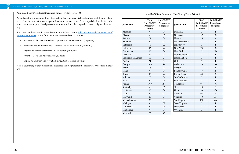Anti-SLAPP Law Procedures (Maximum Sum of Five Subscores: 100)

As explained previously, one-third of each statute's overall grade is based on how well the procedural protections in each state's law safeguard First Amendment rights. For each jurisdiction, the five subscores that measure procedural protections are summed together to produce an overall procedural rating.

The criteria and maxima for these five subscores follow (See the Policy Choices and Consequences of [Anti-SLAPP Statutes](#page-4-0) section for more information on these procedures.):

- • Suspension of Court Proceedings Upon an Anti-SLAPP Motion (20 points)
- • Burden of Proof on Plaintiff to Defeat an Anti-SLAPP Motion (12 points)
- • Right to an Immediate (Interlocutory) Appeal (25 points)
- • Award of Costs and Attorney Fees (40 points)
- • Expansive Statutory Interpretation Instruction to Courts (3 points)

Here is a summary of each jurisdiction's subscores and subgrades for the procedural protections in their law.

| Jurisdiction         | <b>Total</b><br>Anti-SLAPP<br>Procedures<br>Points | Anti-SLAPP<br>Procedures<br>Subgrade | Jurisdiction   | <b>Total</b><br>Anti-SLAPP<br>Procedures<br>Points |
|----------------------|----------------------------------------------------|--------------------------------------|----------------|----------------------------------------------------|
| Alabama              | $\overline{0}$                                     | $\mathbf{F}$                         | Montana        | $\mathbf{0}$                                       |
| Alaska               | $\overline{0}$                                     | $\mathbf{F}$                         | Nebraska       | 27                                                 |
| Arizona              | 57                                                 | $C-$                                 | Nevada         | 95                                                 |
| Arkansas             | 42                                                 | $D+$                                 | New Hampshire  | $\mathbf{0}$                                       |
| California           | 98                                                 | $\mathbf{A}$                         | New Jersey     | $\overline{0}$                                     |
| Colorado             | 95                                                 | $\mathbf{A}$                         | New Mexico     | 76                                                 |
| Connecticut          | 70                                                 | $C+$                                 | New York       | 72                                                 |
| Delaware             | 27                                                 | $D-$                                 | North Carolina | $\mathbf{0}$                                       |
| District of Columbia | 55                                                 | $C-$                                 | North Dakota   | $\mathbf{0}$                                       |
| Florida              | 21                                                 | $D-$                                 | Ohio           | $\theta$                                           |
| Georgia              | 100                                                | $A+$                                 | Oklahoma       | 93                                                 |
| Hawaii               | 98                                                 | $\mathbf{A}$                         | Oregon         | 73                                                 |
| Idaho                | $\mathbf{0}$                                       | F                                    | Pennsylvania   | 73                                                 |
| Illinois             | 98                                                 | $\mathbf{A}$                         | Rhode Island   | 64                                                 |
| Indiana              | 58                                                 | $C -$                                | South Carolina | $\mathbf{0}$                                       |
| Iowa                 | $\mathbf{0}$                                       | $\mathbf{F}$                         | South Dakota   | $\mathbf{0}$                                       |
| Kansas               | 100                                                | $A+$                                 | Tennessee      | 95                                                 |
| Kentucky             | $\mathbf{0}$                                       | ${\bf F}$                            | Texas          | 98                                                 |
| Louisiana            | 70                                                 | $C+$                                 | Utah           | 53                                                 |
| Maine                | 40                                                 | $D+$                                 | Vermont        | 95                                                 |
| Maryland             | 10                                                 | $D-$                                 | Virginia       | 10                                                 |
| Massachusetts        | 70                                                 | $C+$                                 | Washington     | 100                                                |
| Michigan             | $\boldsymbol{0}$                                   | $\mathbf{F}$                         | West Virginia  | $\mathbf{0}$                                       |
| Minnesota            | $\mathbf{0}$                                       | ${\bf F}$                            | Wisconsin      | $\mathbf{0}$                                       |
| Mississippi          | $\boldsymbol{0}$                                   | $\mathbf{F}$                         | Wyoming        | $\overline{0}$                                     |
| Missouri             | 63                                                 | $\mathbf C$                          |                |                                                    |

*Anti-SLAPP Law Procedures (One-Third of Overall Grade)*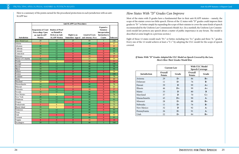<span id="page-12-0"></span>Here is a summary of the points earned for the procedural protections in each jurisdiction with an anti-SLAPP law: *How States With "D" Grades Can Improve*

Most of the states with D grades have a fundamental flaw in their anti-SLAPP statutes – namely, the scope of the statute covers too little speech. Eleven of the 12 states with "D" grades could improve their grades to "B-" or better simply by expanding the scope of their statutes to cover the same kinds of speech recommended by the Uniform Law Commission's Model Act. (In a nutshell, the Uniform Law Commission's model law protects any speech about a matter of public importance in any forum. The model is described at some length in a previous section.)

Eight of those 12 states would reach "B+" or better, including two "A+" grades and three "A-" grades. Every one of the 12 would achieve at least a "C+" by adopting the ULC model for the scope of speech covered.

|                      | <b>Anti-SLAPP Law Procedures</b>                                                                        |                                                           |                                                          |                       |                                                                                                  |                 |
|----------------------|---------------------------------------------------------------------------------------------------------|-----------------------------------------------------------|----------------------------------------------------------|-----------------------|--------------------------------------------------------------------------------------------------|-----------------|
| <b>Jurisdiction</b>  | <b>Suspension of Court Burden of Proof</b><br><b>Proceedings Upon</b><br>an Anti-SLAPP<br><b>Motion</b> | on Plaintiff to<br>Defeat an Anti-<br><b>SLAPP Motion</b> | Right to an<br><b>Immediate Appeal</b> and Attorney Fees | <b>Award of Costs</b> | <b>Expansive</b><br><b>Statutory</b><br>Interpretation<br><b>Instruction to</b><br><b>Courts</b> | <b>Subscore</b> |
| <b>ULC Model Law</b> | 20                                                                                                      | 12                                                        | 25                                                       | 40                    | 3                                                                                                | 100             |
| Arizona              | 5                                                                                                       | 12                                                        | $\mathbf{0}$                                             | 40                    | $\overline{0}$                                                                                   | 57              |
| <b>Arkansas</b>      | 20                                                                                                      | 12                                                        | $\mathbf{0}$                                             | 10                    | $\mathbf{0}$                                                                                     | 42              |
| California           | 18                                                                                                      | 12                                                        | 25                                                       | 40                    | $\overline{3}$                                                                                   | 98              |
| Colorado             | 18                                                                                                      | 12                                                        | 25                                                       | 40                    | $\mathbf{0}$                                                                                     | 95              |
| Connecticut          | 18                                                                                                      | $\overline{12}$                                           | $\boldsymbol{0}$                                         | 40                    | $\mathbf{0}$                                                                                     | 70              |
| Delaware             | 5                                                                                                       | $\overline{12}$                                           | $\boldsymbol{0}$                                         | 10                    | $\mathbf{0}$                                                                                     | 27              |
| District of Columbia | $\overline{18}$                                                                                         | $\overline{12}$                                           | $\mathbf{0}$                                             | $\overline{25}$       | $\mathbf{0}$                                                                                     | $\overline{55}$ |
| Florida              | 5                                                                                                       | 6                                                         | $\overline{0}$                                           | $\overline{10}$       | $\theta$                                                                                         | $\overline{21}$ |
| Georgia              | 20                                                                                                      | $\overline{12}$                                           | 25                                                       | 40                    | $\overline{3}$                                                                                   | 100             |
| Hawaii               | 18                                                                                                      | 12                                                        | 25                                                       | 40                    | $\overline{\mathbf{3}}$                                                                          | 98              |
| <b>Illinois</b>      | 18                                                                                                      | $\overline{12}$                                           | 25                                                       | 40                    | $\overline{\mathbf{3}}$                                                                          | 98              |
| Indiana              | 18                                                                                                      | $\mathbf{0}$                                              | $\mathbf{0}$                                             | 40                    | $\mathbf{0}$                                                                                     | 58              |
| Kansas               | $\overline{20}$                                                                                         | $\overline{12}$                                           | $\overline{25}$                                          | 40                    | $\overline{\mathbf{3}}$                                                                          | 100             |
| Louisiana            | 18                                                                                                      | 12                                                        | $\mathbf{0}$                                             | 40                    | $\mathbf{0}$                                                                                     | 70              |
| Maine                | $\overline{18}$                                                                                         | $\overline{12}$                                           | $\overline{0}$                                           | 10                    | $\theta$                                                                                         | $\overline{40}$ |
| Maryland             | 10                                                                                                      | $\mathbf{0}$                                              | $\overline{0}$                                           | $\mathbf{0}$          | $\mathbf{0}$                                                                                     | 10              |
| Massachusetts        | $\overline{18}$                                                                                         | $\overline{12}$                                           | $\mathbf{0}$                                             | $\overline{40}$       | $\mathbf{0}$                                                                                     | 70              |
| Missouri             | 18                                                                                                      | $\boldsymbol{0}$                                          | 5                                                        | 40                    | $\mathbf{0}$                                                                                     | 63              |
| Nebraska             | 5                                                                                                       | $\overline{12}$                                           | $\mathbf{0}$                                             | 10                    | $\mathbf{0}$                                                                                     | $\overline{27}$ |
| Nevada               | $\overline{18}$                                                                                         | 12                                                        | $\overline{25}$                                          | 40                    | $\mathbf{0}$                                                                                     | $\overline{95}$ |
| New Mexico           | 5                                                                                                       | 6                                                         | 25                                                       | 40                    | $\boldsymbol{0}$                                                                                 | 76              |
| New York             | $\overline{20}$                                                                                         | $\overline{12}$                                           | $\boldsymbol{0}$                                         | 40                    | $\overline{0}$                                                                                   | $\overline{72}$ |
| Oklahoma             | $\overline{18}$                                                                                         | $\overline{12}$                                           | 25                                                       | $\overline{38}$       | $\theta$                                                                                         | $\overline{93}$ |
| Oregon               | $\overline{18}$                                                                                         | $\overline{12}$                                           | $\overline{0}$                                           | $\overline{40}$       | $\overline{3}$                                                                                   | $\overline{73}$ |
| Pennsylvania         | $\overline{2}$                                                                                          | 6                                                         | $\overline{25}$                                          | $\overline{40}$       | $\mathbf{0}$                                                                                     | $\overline{73}$ |
| Rhode Island         | $\overline{18}$                                                                                         | 6                                                         | $\mathbf{0}$                                             | $\overline{40}$       | $\mathbf{0}$                                                                                     | $\overline{64}$ |
| Tennessee            | 18                                                                                                      | $\overline{12}$                                           | 25                                                       | 40                    | $\overline{0}$                                                                                   | $\overline{95}$ |
| Texas                | 18                                                                                                      | $\overline{12}$                                           | $\overline{25}$                                          | 40                    | $\overline{\mathbf{3}}$                                                                          | 98              |
| Utah                 | $\overline{18}$                                                                                         | $\overline{0}$                                            | 25                                                       | 10                    | $\mathbf{0}$                                                                                     | 53              |
| Vermont              | $\overline{18}$                                                                                         | $\overline{12}$                                           | 25                                                       | 40                    | $\mathbf{0}$                                                                                     | $\overline{95}$ |
| Virginia             | $\boldsymbol{0}$                                                                                        | $\boldsymbol{0}$                                          | $\boldsymbol{0}$                                         | 10                    | $\boldsymbol{0}$                                                                                 | 10              |
| Washington           | 20                                                                                                      | $\overline{12}$                                           | $\overline{25}$                                          | 40                    | $\overline{3}$                                                                                   | 100             |

#### *If States With "D" Grades Adopted the ULC Model on Speech Covered by the Law, Here's How Their Grades Would Rise*

|               | <b>Current Law</b>       |              | With ULC Model<br><b>Speech Coverage</b> |       |
|---------------|--------------------------|--------------|------------------------------------------|-------|
| Jurisdiction  | Overall<br><b>Points</b> | Grade        | Overall<br><b>Points</b>                 | Grade |
| Arizona       | 29                       | $\mathbf{D}$ | 86                                       | $B+$  |
| Delaware      | 11                       | $\mathbf{D}$ | 76                                       | $B-$  |
| Hawaii        | 39                       | D            | 99                                       | $A+$  |
| Illinois      | 46                       | $D+$         | 99                                       | $A+$  |
| Maine         | 33                       | D            | 80                                       | B     |
| Maryland      | 37                       | D            | 70                                       | $C+$  |
| Massachusetts | 43                       | $D+$         | 90                                       | $A -$ |
| Missouri      | 28                       | $\mathbf{D}$ | 88                                       | $B+$  |
| Nebraska      | 11                       | $\mathbf{D}$ | 76                                       | $B -$ |
| New Mexico    | 32                       | D            | 92                                       | $A-$  |
| Pennsylvania  | 26                       | $D-$         | 91                                       | $A-$  |
| Utah          | 22                       | $\mathbf{D}$ | 84                                       | $B+$  |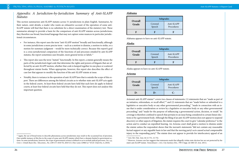# <span id="page-13-0"></span>*Appendix: A Jurisdiction-by-Jurisdiction Summary of Anti-SLAPP Statutes*

This section summarizes anti-SLAPP statutes across 51 jurisdictions in plain English. Summaries, by their nature, omit details; a reader who wants an exhaustive account of the operation of some anti-SLAPP statute will find that there is no substitute for a direct examination of the statutory text. These summaries attempt to provide a basis for the comparison of anti-SLAPP statutes across jurisdictions; they therefore use broad, functional language that may not capture some nuances in particular jurisdictional circumstances.

- For instance, this report uses the term "anti-SLAPP motion" broadly and functionally, although in some jurisdictions a more precise term – such as a motion to dismiss, a motion to strike, or a motion for summary judgment – would be more technically correct. Because this report's goal is a cross-jurisdictional comparison of the functions of and processes entailed by anti-SLAPP statutes, the report sometimes uses broader, more general terms or labels.<sup>11</sup>
- This report also uses the term "statute" functionally. In this report, a statute generally means the parts of the jurisdiction's legal code that determine the rights and powers of litigants that are affected by an anti-SLAPP motion, whether that code is lumped together in one place or scattered throughout statute books. When appropriate, however, this report also describes the effect of case law that appears to modify the function of the anti-SLAPP statute at issue.
- Notably, there is variance in the operation of anti-SLAPP laws that is outside the scope of this report. There are differences among the federal circuits as to whether state anti-SLAPP acts apply in the federal courts. At least three federal circuits have held that such laws do apply in federal courts; at least four federal circuits have held that they do not. This report does not analyze this important question.

Arizona's anti-SLAPP statute<sup>12</sup> covers two classes of statements: (1) statements that are "made as part of an initiative, referendum, or recall effort,"13 and (2) statements that are "made before or submitted to a legislative or executive body or any other governmental proceeding," "made in connection with an issue that is under consideration or review by a legislative or executive body or any other governmental proceeding," and "made for the purpose of influencing a governmental action, decision, or result." Its coverage is therefore confined to speech that pertains to an issue being considered in certain future elections or by a government body. Although the filing of an anti-SLAPP motion does not appear to suspend discovery or other aspects of litigation, the statute requires the court to give "calendar preference" to the action and to conduct an expedited hearing. An Arizona court shall grant a motion to dismiss under the statute unless the respondent shows that the movant's statements "did not contain any reasonable factual support or any arguable basis in law and that the moving party's acts caused actual compensable injury to the responding party." The statute does not appear to provide for interlocutory appeal of an

#### **Alabama**

Alabama appears to have no anti-SLAPP statute.

#### **Alaska**

Alaska appears to have no anti-SLAPP statute.

#### **Arizona**

| Overall | Subgrades         |                     |
|---------|-------------------|---------------------|
| Grade   | Covered<br>Speech | Anti-SLA<br>Procedu |
|         |                   |                     |



| Overall<br>Grade |                   | Subgrades           |
|------------------|-------------------|---------------------|
|                  | Covered<br>Speech | Anti-SLA<br>Procedu |
|                  |                   |                     |



# APP res

| Overall<br>Grade | Subgrades         |                     |
|------------------|-------------------|---------------------|
|                  | Covered<br>Speech | Anti-SL/<br>Procedu |
|                  |                   |                     |

<sup>&</sup>lt;sup>11</sup> Again, the use of broad terms to describe phenomena across jurisdictions may result in the occasional loss of precision. One notable instance of this lies in the scope of some anti-SLAPP statutes which have a domain limited to government actions. In some jurisdictions, however, the scope of government actions is defined so as to exclude judicial processes. *See*, *e.g*., *Crow v. Uintah Basin Elec. Telecomms.*, No. 2:09-CV-1010 TS, 2010 U.S. Dist. Lexis 129865 at \*18 (D. Utah Dec. 6, 2010).

<sup>&</sup>lt;sup>13</sup> However, Arizona case law suggests that statements made that allegedly violate state election law are not protected by the state's anti-SLAPP statute. *Tennenbaum v. Ariz. City Sanitary Dist.*, 799 F. Supp. 2d 1083 (D. Ariz. 2011).

<sup>12</sup> Ariz. Rev. Stat. Ann. §§ 12-751, 12-752.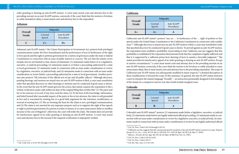order granting or denying an anti-SLAPP motion. A court must award costs and attorney fees to the prevailing movant on an anti-SLAPP motion; conversely, if the court finds that the motion is frivolous or solely intended to delay, it must award costs and attorney fees to the respondent.

#### **Arkansas**

Arkansas's anti-SLAPP statute,<sup>14</sup> the Citizen Participation in Government Act, protects both privileged communications (under the First Amendment) and the performance of acts in furtherance of the right to free speech and the right to petition government for a redress of grievances under the state or federal Constitutions in connection with an issue of public interest or concern. The acts that the statute covers include, but are not limited to, four classes of statements: (1) statements made before or to a legislative, executive, or judicial proceeding; (2) statements made to or before a proceeding authorized by a state or local government; (3) statements made in connection with an issue under consideration or review by a legislative, executive, or judicial body; and (4) statements made in connection with an issue under consideration or review before a proceeding authorized by a state or local government. Another provision also protects "All criticisms of the official acts of any and all public officers." Although discovery, pending hearings, and motions are stayed once an anti-SLAPP motion is filed, a court may nonetheless order that specified discovery or other hearings or motions may be conducted if good cause is shown. In the event that the anti-SLAPP statute governs the action, that statute requires the respondent to file a written verification under oath within ten days of the original filing that certifies that "(1) The party and his or her attorney of record, if any, have read the claim; (2) To the best of the knowledge, information, and belief formed after reasonable inquiry of the party or his or her attorney, the claim is well grounded in fact and is warranted by existing law or a good faith argument for the extension, modification, or reversal of existing law; (3) The act forming the basis for the claim is not a privileged communication; and (4) The claim is not asserted for any improper purpose such as to suppress the right of free speech or right to petition government of a person or entity, to harass, or to cause unnecessary delay or needless increase in the cost of litigation"; otherwise, the court will strike the claim. The statute does not provide for interlocutory appeal of an order granting or denying an anti-SLAPP motion. A court may award costs and attorney fees to the movant if the required certification is improperly verified.

California's anti-SLAPP statute<sup>15</sup> protects "any act ... in furtherance of the ... right of petition or free speech under the United States Constitution or the California Constitution in connection with a public issue."16 Although discovery is stayed once an anti-SLAPP motion is filed, a court may nonetheless order that specified discovery be conducted if good cause is shown. To prevail against an anti-SLAPP motion, the respondent must establish a probability of prevailing at trial. California case law suggests that this probability is established if the respondent demonstrates both that the complaint is legally sufficient and that it is supported by a sufficient prima facie showing of facts to sustain a favorable judgment.17 The statute provides for interlocutory appeal of an order granting or denying an anti-SLAPP motion. Except in narrow circumstances,<sup>18</sup> a court must award costs and attorney fees to the prevailing movant on an anti-SLAPP motion; conversely, if the court finds the motion to be frivolous or solely intended to cause unnecessary delay, then it must award costs and attorney fees to the prevailing respondent. The scope of California's anti-SLAPP statute was subsequently modified in minor respects;19 a detailed description of those modifications is beyond the scope of this summary. In general, the anti-SLAPP statute instructs courts to interpret the statute's language "broadly" – an instruction presumably designed to foil readings of the statute in a cramped or narrow way that would exclude marginal cases.

Colorado's anti-SLAPP statute<sup>20</sup> protects (1) statements made before a legislative, executive, or judicial body, (2) statements made before any legally authorized official proceeding, (3) statements made in connection with an issue under consideration or review by a legislative, executive, or judicial body, (4) statements made in connection with an issue under consideration or review by any legally authorized official

#### **California**

#### **Colorado**

 $APP$  $res$ 

 $P<sub>P</sub>$  $res$ 

| Overall | Subgrades         |                          |
|---------|-------------------|--------------------------|
| Grade   | Covered<br>Speech | Anti-SLAPP<br>Procedures |
|         |                   | । )∓                     |

| Overall<br>Grade | Subgrades         |                     |
|------------------|-------------------|---------------------|
|                  | Covered<br>Speech | Anti-SL/<br>Procedu |
| $A+$             | $A +$             |                     |

| Overall<br>Grade | Subgrades         |                     |
|------------------|-------------------|---------------------|
|                  | Covered<br>Speech | Anti-SLA<br>Procedu |
| R                | K-                |                     |

<sup>14</sup> Ark. Code Ann. § 16-63-501 through § 16-63-508.

<sup>15</sup> Cal. Civ. Proc. Code § 425.16 through § 425.18.

<sup>16</sup> California case law suggests that the 'commercial speech' exception to the anti-SLAPP statute is narrow in scope. *Simpson Strong-Tie Co., Inc. v. Gore*, 49 Cal. 4th 12, 230 P.3d 1117, 109 Cal. Rptr. 3d 329 (Cal. May 17, 2010).

<sup>17</sup> *Matson v. Dvorak*, 40 Cal. App. 4th 539, 46 Cal. Rptr. 2d 880 (Cal. Nov. 21, 1995).

<sup>18</sup> Cal. Civ. Proc. Code § 425.16 (c)(2).

<sup>&</sup>lt;sup>19</sup> Cal. Civ. Proc. Code § 425.17.

<sup>&</sup>lt;sup>20</sup> Col. Rev. Stat. Ann. § 13-20-1101.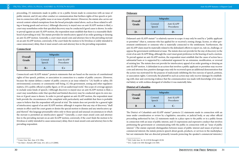proceeding, (5) statements made in public or in a public forum made in connection with an issue of public interest, and (6) any other conduct or communication that furthers rights of free speech or petition in connection with a public issue or an issue of public interest. (However, the statute also carves out several content-related exemptions from the broad principles stated above, such as those related to selling or leasing goods and services.) Although discovery is stayed once an anti-SLAPP motion is filed, a court may nonetheless order that specified discovery may be conducted if good cause is shown. In order to prevail against an anti-SLAPP motion, the respondent must establish that there is a reasonable likelihood of prevailing at trial. The statute provides for interlocutory appeal of an order granting or denying an anti-SLAPP motion. Generally, a court must award costs and attorney fees to the prevailing movant on an anti-SLAPP motion; conversely, if the court finds the motion to be frivolous or solely intended to cause unnecessary delay, then it must award costs and attorney fees to the prevailing respondent.

#### **Connecticut**

Connecticut's anti-SLAPP statute<sup>21</sup> protects statements that are based on the exercise of constitutional rights of free speech, petition, or association in connection to a matter of public concern. (However, because the statute defines a matter of public concern as an issue related to "(A) health or safety, (B) environmental, economic or community well-being, (C) the government, zoning and other regulatory matters, (D) a public official or public figure, or (E) an audiovisual work," this scope of coverage appears to exclude some kinds of speech.) Although discovery is stayed once an anti-SLAPP motion is filed, a court may nonetheless order that specified and limited discovery may be conducted upon its own motion or if good cause is shown. In order to prevail against an anti-SLAPP motion, the respondent must both provide the circumstances of the complaint with particularity and establish that there is probable cause to believe that the respondent will prevail at trial. The statute does not provide for a general right of interlocutory appeal of an anti-SLAPP motion: although it requires that any stay of discovery "shall remain in effect until the court grants or denies the special motion to dismiss and any interlocutory appeal thereof," this language presumably refers only to those special and unusual circumstances in which the movant is permitted an interlocutory appeal.<sup>22</sup> Generally, a court must award costs and attorney fees to the prevailing movant on an anti-SLAPP motion; conversely, if the court finds the motion to be frivolous or solely intended to cause unnecessary delay, then it must award costs and attorney fees to the prevailing respondent.

Delaware's anti-SLAPP statute<sup>23</sup> is relatively narrow in scope: it may only be used by a "public applicant" or permittee" (that is, someone who has applied for or received a zoning change, license, or other government entitlement) or someone who is materially connected to the entitlement. Furthermore, the anti-SLAPP claim must be materially related to the defendant's efforts to report on, rule on, challenge, or oppose the government entitlement at issue. The statute does not provide for the stay of discovery in the event of an anti-SLAPP filing, although the court must grant preference in the hearing of such a motion. To prevail against an anti-SLAPP motion, the respondent must establish that the cause of action has a substantial basis or is supported by a substantial argument for an extension, modification, or reversal of existing law. The statute does not provide for interlocutory appeal of an order granting or denying an anti-SLAPP motion. A defendant in an action that involves a public applicant or permittee may recover costs and attorney fees; punitive damages may only be recovered upon an additional demonstration that the action was motivated for the purpose of maliciously inhibiting the free exercise of speech, petition, or association rights. Conversely, the plaintiff in such an action may only recover damages by establishing with clear and convincing evidence that the communication was made with knowledge of its material falsity or with reckless disregard of whether it was materially false.

The District of Columbia's anti-SLAPP statute<sup>24</sup> protects (1) statements made in connection with an issue under consideration or review by a legislative, executive, or judicial body, or any other official proceeding authorized by law, (2) statements made in a place open to the public or in a public forum in connection with an issue of public interest, and (3) expressions and expressive conduct that involves petitioning the government or communicating with the public in connection with an "issue of public interest." (The statute expressly distinguishes between issues of public interest and issues of private or commercial interest; the statute protects speech about goods, products, or services in the marketplace, but not statements that are directed primarily towards protecting the speaker's commercial interests.)

#### **Delaware**

#### **District of Columbia**

 $APP$  $res$ 

 $P<sub>P</sub>$ res

| Overall<br>Grade | Subgrades         |                          |
|------------------|-------------------|--------------------------|
|                  | Covered<br>Speech | Anti-SLAPP<br>Procedures |
| $B+$             |                   | C+                       |

| Overall<br>Grade | Subgrades         |                     |
|------------------|-------------------|---------------------|
|                  | Covered<br>Speech | Anti-SL/<br>Procedu |
|                  | H                 |                     |

| Overall<br>Grade | Subgrades         |                     |
|------------------|-------------------|---------------------|
|                  | Covered<br>Speech | Anti-SLA<br>Procedu |
| K                |                   |                     |

<sup>21</sup> Conn. Gen. Stat. Ann. § 52-196a.

<sup>22</sup> *See State v. Kemah*, 289 Conn. 411, 423, n.13 (2008).

<sup>23</sup> Del. Code Ann. tit. 10, § 8136 through § 8138.

<sup>24</sup> D.C. Code § 16-5501 through § 16-5505.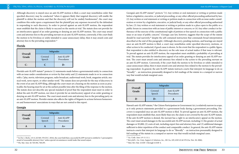Although discovery is stayed once an anti-SLAPP motion is filed, a court may nonetheless order that specified discovery may be conducted "when it appears likely that targeted discovery will enable the plaintiff to defeat the motion and that the discovery will not be unduly burdensome"; the court may condition this order upon a requirement that the plaintiff pay any expenses incurred by the defendant in responding to such discovery. In order to prevail against an anti-SLAPP motion, the respondent must establish that the claim is likely to succeed on the merits at trial. The statute does not provide for an interlocutory appeal of an order granting or denying an anti-SLAPP motion. The court may award costs and attorney fees to the prevailing movant on an anti-SLAPP motion; conversely, if the court finds the motion to be frivolous or solely intended to cause unnecessary delay, then it may award costs and attorney fees to the prevailing respondent.25

#### **Florida**

Florida's anti-SLAPP statute<sup>26</sup> protects (1) statements made before a governmental entity in connection with an issue under consideration or review by that entity and (2) statements made in or in connection with a "play, movie, television program, radio broadcast, audiovisual work, book, magazine article, musical work, news report, or other similar work." The statute does not provide for the stay of discovery in the event of an anti-SLAPP filing, although the court must set a hearing on the motion as soon as practicable; the hearing must be set at the earliest possible time after the filing of the response to the motion. The statute does not describe any special standard of proof that the respondent must meet in order to defeat the anti-SLAPP motion, nor does it provide for an interlocutory appeal of an order granting or denying an anti-SLAPP motion. The court must award costs and attorney fees to the prevailing party on an anti-SLAPP motion. Florida's statute also affects the rights of litigants in actions between homeowners and homeowners' associations in ways that are not central to this report.

#### **Georgia**

Georgia's anti-SLAPP statute<sup>27</sup> protects "(1) Any written or oral statement or writing or petition made before a legislative, executive, or judicial proceeding, or any other official proceeding authorized by law; (2) Any written or oral statement or writing or petition made in connection with an issue under consideration or review by a legislative, executive, or judicial body, or any other official proceeding authorized by law; (3) Any written or oral statement or writing or petition made in a place open to the public or a public forum in connection with an issue of public interest or concern; or (4) Any other conduct in furtherance of the exercise of the constitutional right of petition or free speech in connection with a public issue or an issue of public concern." (Georgia case law, however, suggests that the scope of the statute should be read narrowly,<sup>28</sup> despite the self-contained instruction that commands broad interpretation described at the end of this paragraph.) Although discovery, pending motions, and hearings are stayed once an anti-SLAPP motion is filed, a court may nonetheless order specified discovery, motions, or other action to be conducted, if good cause is shown. In the event that the respondent is a public figure, that respondent is also entitled to discovery on the sole issue of actual malice if that issue is relevant. To prevail against an anti-SLAPP motion, the respondent must establish a probability of prevailing at trial. The statute provides for interlocutory appeal of an order granting or denying an anti-SLAPP motion. The court must award costs and attorney fees related to the action to the prevailing movant on an anti-SLAPP motion. Conversely, if the court finds the motion to be frivolous or solely intended to cause unnecessary delay, then it must award costs and attorney fees related to the motion to the prevailing respondent. In general, the anti-SLAPP statute instructs courts that interpret its language to do so "broadly" – an instruction presumably designed to foil readings of the statute in a cramped or narrow way that would exclude marginal cases.

Hawaii's anti-SLAPP statute,<sup>29</sup> the Citizen Participation in Government Act, is relatively narrow in scope, as it only protects statements provided to a government body during a government proceeding. Discovery is suspended once an anti-SLAPP motion is filed. To prevail against an anti-SLAPP motion, the respondent must establish that, more likely than not, the claim is not covered by the anti-SLAPP statute. If the anti-SLAPP motion is denied, the movant has a right to an interlocutory appeal on the motion. The court must award damages to the successful anti-SLAPP movant, including (1) the greater of actual damages or \$5,000, (2) costs of suit, including expert fees and attorney fees, and (3) additional damages sufficient to deter repetition of the conduct and comparable conduct. In general, the anti-SLAPP statute instructs courts that interpret its language to do so "liberally" – an instruction presumably designed to foil readings of the statute in a cramped or narrow way that would exclude marginal cases.

#### **Hawaii**

 $PP$ es

|                  | Subgrades         |                          |
|------------------|-------------------|--------------------------|
| Overall<br>Grade | Covered<br>Speech | Anti-SLAPP<br>Procedures |
|                  |                   |                          |

| Overall | Subgrades         |                          |
|---------|-------------------|--------------------------|
| Grade   | Covered<br>Speech | Anti-SLAPP<br>Procedures |
|         |                   |                          |

| Overall<br>Grade |                   | Subgrades            |
|------------------|-------------------|----------------------|
|                  | Covered<br>Speech | Anti-SLA<br>Procedui |
| נ ו              |                   |                      |

<sup>25</sup> In *Doe v. Burke*, 133 A.3d 569, 578 (D.C. 2016), the court held that a successful SLAPP movant is entitled to "a presumptive award of reasonable attorney's fees," unless special circumstances would make that award unjust. <sup>26</sup> Fla. Stat. Ann. §§ 720.304, 768.295.

<sup>27</sup> Ga. Code. Ann. § 9-11-11.1.

<sup>28</sup> *Berryhill v. Ga. Cmty. Support & Solutions, Inc.*, 281 Ga. 439, 638 S.E.2d 278 (Ga. Nov. 28, 2006).

<sup>29</sup> Haw. Rev. Stat. § 634F-1 through § 634F-4.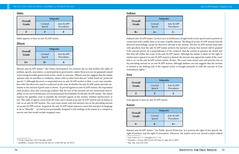Idaho appears to have no anti-SLAPP statute.

#### **Illinois**

Illinois's anti-SLAPP statute,<sup>30</sup> the Citizen Participation Act, protects any act that furthers the rights of petition, speech, association, or participation in government, unless those acts are not genuinely aimed at procuring favorable government action, result, or outcome. (Illinois case law suggests that the statute operates only on meritless or retaliatory claims with no other basis that are "solely based on" protected speech.<sup>31</sup>) Although discovery is suspended once an anti-SLAPP motion is filed, a court may nonetheless order that discovery may be conducted on the issue of whether the anti-SLAPP statute provides immunity to the movant if good cause is shown. To prevail against an anti-SLAPP motion, the respondent must produce clear and convincing evidence that the acts of the movants are not immunized from liability (or are not in furtherance of acts immunized from liability) by the anti-SLAPP statute. The statute requires the appellate court to expedite the movant's appeal on the motion, whether interlocutory or not. This right of appeal covers both the trial court's denial of an anti-SLAPP motion and its failure to rule on an anti-SLAPP motion. The court must award costs and attorney fees to the prevailing movant on an anti-SLAPP motion. In general, the anti-SLAPP statute instructs courts that interpret its language to do so "liberally" – an instruction presumably designed to foil readings of the statute in a cramped or narrow way that would exclude marginal cases.

> Kansas's anti-SLAPP statute,<sup>34</sup> the Public Speech Protection Act, protects the right of free speech, the right of petition, and the right of association. (However, the statute carves out several content-related

**Idaho**

| Overall | Subgrades         |                          |
|---------|-------------------|--------------------------|
| Grade   | Covered<br>Speech | Anti-SLAPP<br>Procedures |
|         |                   | н                        |

#### **Indiana**

#### **Iowa**

Iowa appears to have no anti-SLAPP statute.

#### **Kansas**

| APP  |  |
|------|--|
| ires |  |

| $\overline{APP}$ |  |
|------------------|--|
| res              |  |
|                  |  |
|                  |  |
|                  |  |

| Overall |                   | Subgrades                |
|---------|-------------------|--------------------------|
| Grade   | Covered<br>Speech | Anti-SLAPP<br>Procedures |
|         |                   |                          |

| Overall |                   | Subgrades                |
|---------|-------------------|--------------------------|
| Grade   | Covered<br>Speech | Anti-SLAPP<br>Procedures |
| $B+$    | $A+$              |                          |

Indiana's anti-SLAPP statute<sup>32</sup> protects acts in furtherance of rights both to free speech and to petition in connection with a public issue or an issue of public interest. The filing of an anti-SLAPP motion stays all discovery proceedings, except for discovery relevant to the motion. The anti-SLAPP movant must state with specificity how the anti-SLAPP statute protects the movant's actions; that motion will be granted if the movant proves, by a preponderance of the evidence, that the actions in question are lawful and that they fall within the scope of the anti-SLAPP statute. Although the statute is silent on the right to interlocutory appeal if an anti-SLAPP motion is denied, the movant may appeal the matter if the court fails to act on the anti-SLAPP motion within 30 days. The court must award costs and attorney fees to the prevailing movant on an anti-SLAPP motion, although Indiana case law suggests that the movant is entitled to fee-shifting only if the original action is brought primarily to chill the exercise of First Amendment rights.<sup>33</sup>

| Overall |                   | Subgrades                |
|---------|-------------------|--------------------------|
| Grade   | Covered<br>Speech | Anti-SLAPP<br>Procedures |
|         |                   |                          |

| Overall |                   | Subgrades           |
|---------|-------------------|---------------------|
| Grade   | Covered<br>Speech | Anti-SLA<br>Procedu |
|         |                   |                     |



<sup>30</sup> 735 Ill. Comp. Stat. 110/15 through 110/99.

<sup>31</sup> *Sandholm v. Kuecker*, 962 N.E.2d 418, 2012 IL 111443 (Ill. Jan. 20, 2012).

<sup>32</sup> Ind. Code § 34-7-7-1 through § 34-7-7-10.

<sup>33</sup> *Hamilton v. Prewett*, 860 N.E.2d 1234 (Ind. Ct. App. Feb. 6, 2007).

<sup>34</sup> Kan. Stat. Ann § 60-5320.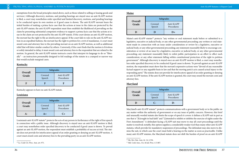exemptions from the broad principles stated above, such as those related to selling or leasing goods and services.) Although discovery, motions, and pending hearings are stayed once an anti-SLAPP motion is filed, a court may nonetheless order specified and limited discovery, motions, and pending hearings to be conducted upon its own motion or if good cause is shown. The anti-SLAPP movant bears the initial burden of making a prima facie case that the actions at issue in the claim are protected by the anti-SLAPP statute; the anti-SLAPP respondent must then establish the likelihood of prevailing on the claim by presenting substantial competent evidence to support a prima facie case that the actions at issue in the claim are not protected by the anti-SLAPP statute. If the court denies an anti-SLAPP motion, the movant has the right to file an interlocutory appeal. If the court fails to rule on the anti-SLAPP motion in an expedited fashion, the movant has the right to petition for a writ of mandamus. A court must award costs and attorney fees to the prevailing movant on an anti-SLAPP motion, as well as additional relief that will deter similar conduct by others. Conversely, if the court finds that the motion is frivolous or solely intended to delay, it must award costs and attorney fees to the respondent that are related to the motion. In general, the anti-SLAPP statute instructs courts that interpret its language to do so "liberally" – an instruction presumably designed to foil readings of the statute in a cramped or narrow way that would exclude marginal cases.

Louisiana's anti-SLAPP statute<sup>35</sup> protects the acts of any person in furtherance of the right of free speech in connection with a public issue. Although discovery is stayed once an anti-SLAPP motion is filed, a court may nonetheless order specified discovery to be conducted if good cause is shown. To prevail against an anti-SLAPP motion, the respondent must establish a probability of success at trial. The statute does not provide for interlocutory appeal of an order granting or denying an anti-SLAPP motion. A court must award costs and attorney fees to the prevailing party on an anti-SLAPP motion.

#### **Kentucky**

Kentucky appears to have no anti-SLAPP statute.

#### **Louisiana**

Maine's anti-SLAPP statute<sup>36</sup> protects "any written or oral statement made before or submitted to a legislative, executive or judicial body, or any other governmental proceeding; any written or oral statement made in connection with an issue under consideration or review by a legislative, executive or judicial body, or any other governmental proceeding; any statement reasonably likely to encourage consideration or review of an issue by a legislative, executive or judicial body, or any other governmental proceeding; any statement reasonably likely to enlist public participation in an effort to effect such consideration; or any other statement falling within constitutional protection of the right to petition government." Although discovery is stayed once an anti-SLAPP motion is filed, a court may nonetheless order specified discovery to be conducted if good cause is shown. To prevail against an anti-SLAPP motion, the respondent must show that the movant's expressive actions were "devoid of any reasonable factual support or any arguable basis in law and that the moving party's acts caused actual injury to the responding party." The statute does not provide for interlocutory appeal of an order granting or denying an anti-SLAPP motion. If the anti-SLAPP motion is granted, the court may award the movant costs and attorney fees.

Maryland's anti-SLAPP statute<sup>37</sup> protects communications with a government body or to the public on any matter within the authority of government or on any issue of public concern. However, this brief and unusually worded statute also limits the scope of speech it covers: it defines a SLAPP suit in part as one that is "[b]rought in bad faith" and "[i]ntended to inhibit or inhibits the exercise of rights under the First Amendment." A defendant facing a SLAPP suit may move to stay all court proceedings until the matter is resolved; notably, this option supplies a considerably weaker tool than many other anti-SLAPP statutes, which provide for mandatory suspension of proceedings. The defendant may also move to dismiss the suit, in which case the court must hold a hearing on the matter as soon as practicable. Unlike many anti-SLAPP statutes, the Maryland statute does not shift the burden of proof on an anti-SLAPP

#### **Maine**

#### **Maryland**

APP  $res$ 

 $APP$ res

|                  | Subgrades         |                          |
|------------------|-------------------|--------------------------|
| Overall<br>Grade | Covered<br>Speech | Anti-SLAPP<br>Procedures |
| H                | н                 | Н                        |

|                  | Subgrades         |                          |
|------------------|-------------------|--------------------------|
| Overall<br>Grade | Covered<br>Speech | Anti-SLAPP<br>Procedures |
|                  |                   |                          |

| Overall |                   | Subgrades           |
|---------|-------------------|---------------------|
| Grade   | Covered<br>Speech | Anti-SL/<br>Procedu |
|         |                   | Ⅰ)⊥                 |

| Overall        |                   | Subgrades           |
|----------------|-------------------|---------------------|
| Grade          | Covered<br>Speech | Anti-SLA<br>Procedu |
| $\blacksquare$ | C-                |                     |

<sup>&</sup>lt;sup>35</sup> La. Code Civ. Proc. Ann. art. 971.

<sup>36</sup> Me. Rev. Stat. Ann. tit. 14, § 556.

<sup>37</sup> Md. Code Ann., Cts. & Jud. Proc. § 5-807.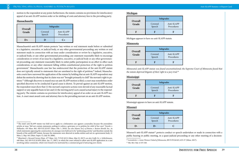motion to the respondent at any point; furthermore, the statute contains no provisions for interlocutory appeal of an anti-SLAPP motion order or for shifting of costs and attorney fees to the prevailing party.

#### **Massachusetts**

Massachusetts's anti-SLAPP statute protects "any written or oral statement made before or submitted to a legislative, executive, or judicial body, or any other governmental proceeding; any written or oral statement made in connection with an issue under consideration or review by a legislative, executive, or judicial body, or any other governmental proceeding; any statement reasonably likely to encourage consideration or review of an issue by a legislative, executive, or judicial body or any other governmental proceeding; any statement reasonably likely to enlist public participation in an effort to effect such consideration; or any other statement falling within constitutional protection of the right to petition government." Massachusetts case law has underscored that the protection of the anti-SLAPP statute does not typically extend to statements that are unrelated to the right of petition;<sup>38</sup> indeed, Massachusetts courts have narrowed the application of the statute by holding that an anti-SLAPP respondent may defeat the motion by showing that its claim was not "brought primarily to chill" the movant's right to petition.39 Although discovery is stayed once an anti-SLAPP motion is filed, a court may nonetheless order specified discovery to be conducted if good cause is shown. To prevail against an anti-SLAPP motion, the respondent must show that (1) the movant's expressive actions were devoid of any reasonable factual support or any arguable basis in law and (2) the moving party's acts caused actual injury to the responding party. The statute contains no provision for interlocutory appeal of an order on an anti-SLAPP motion. A court must award costs and attorney fees to the prevailing movant on an anti-SLAPP motion.

Missouri's anti-SLAPP statute<sup>41</sup> protects conduct or speech undertaken or made in connection with a public hearing or public meeting, in a quasi-judicial proceeding or any other meeting of a decision-

#### **Michigan**

Michigan appears to have no anti-SLAPP statute.

#### **Minnesota**

*Minnesota's anti-SLAPP statute was found unconstitutional; the Supreme Court of Minnesota found that the statute deprived litigants of their right to a jury trial.*<sup>40</sup>

#### **Mississippi**

Mississippi appears to have no anti-SLAPP statute.

#### **Missouri**

| APP<br>res |
|------------|
|            |

|                  | Subgrades         |                          |
|------------------|-------------------|--------------------------|
| Overall<br>Grade | Covered<br>Speech | Anti-SLAPP<br>Procedures |
| $1) +$           |                   | a se                     |

| Overall | Subgrades         |                          |
|---------|-------------------|--------------------------|
| Grade   | Covered<br>Speech | Anti-SLAPP<br>Procedures |
|         |                   |                          |

| Overall<br>Grade | Subgrades         |                     |
|------------------|-------------------|---------------------|
|                  | Covered<br>Speech | Anti-SLA<br>Procedu |
|                  |                   |                     |



| <b>APP</b><br>res |  |
|-------------------|--|
|                   |  |
|                   |  |

| APP<br><b>res</b> |  |
|-------------------|--|
|                   |  |

| Overall<br>Grade | Subgrades         |                          |
|------------------|-------------------|--------------------------|
|                  | Covered<br>Speech | Anti-SLAPP<br>Procedures |
|                  |                   | R                        |

| Overall<br>Grade | Subgrades         |                          |
|------------------|-------------------|--------------------------|
|                  | Covered<br>Speech | Anti-SLAPP<br>Procedures |
|                  |                   | O                        |

<sup>&</sup>lt;sup>38</sup> The state's anti-SLAPP statute was held not to apply in a defamation case against a journalist, because the journalistic articles at issue "did not contain statements seeking to redress a grievance or to petition for relief of her own." *Fustolo v. Hollander*, 455 Mass. 861, 920 N.E.2d 837 (Mass. Feb. 1, 2010). *See also Islamic Soc'y of Boston v. Boston Herald, Inc.*, in which statements opposing the construction of a mosque were held not to be "petitioning activity," and therefore outside the bounds of the antiSLAPP statute, because the statements were directed at media entities and not at a government body. 21 Mass. L. Rep. 441 (Mass. Super. Ct. July 20, 2006).

<sup>39</sup> *Blanchard v. Steward Carney Hosp.*, 477 Mass. 141, 75 N.E.3d 21 (Mass. May 23, 2017); *see also Cadle Co. v. Schlichtmann*, 448 Mass. 242, 859 N.E.2d 858 (Mass. Jan. 17, 2007), in which the court refused to allow anti-SLAPP application in a case involving online comments, which were found to be motivated by a commercial goal of attracting new clients.

<sup>40</sup> *Leiendecker v. Asian Women United of Minnesota*, 895 N.W.2d 623, 635-37 (Minn. 2017). <sup>41</sup> Mo. Rev. Stat. § 537.528.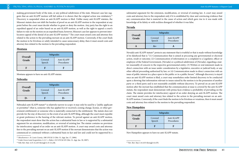making government body of the state, or any political subdivision of the state. Missouri case law suggests that an anti-SLAPP motion will fail unless it is shown that the original action was retaliatory.<sup>42</sup> Discovery is suspended when an anti-SLAPP motion is filed. Unlike many anti-SLAPP statutes, the Missouri statute does not shift the burden of proof on an anti-SLAPP motion to the respondent at any point before the court must decide whether to grant or deny the motion. Any party has the right to an expedited appeal of an order based on an anti-SLAPP motion, as well as the right to appeal a court's failure to rule on the motion on an expedited basis; however, Missouri case law appears to prevent interlocutory appeal of the denial of an anti-SLAPP motion.<sup>43</sup> The court must award costs and attorney fees related to the action to the prevailing movant on an anti-SLAPP motion. Conversely, if the court finds the motion to be frivolous or solely intended to cause unnecessary delay, then it must award costs and attorney fees related to the motion to the prevailing respondent.

Nebraska's anti-SLAPP statute<sup>44</sup> is relatively narrow in scope: it may only be used by a "public applicant or permittee" (that is, someone who has applied for or received a zoning change, license, or other government entitlement) or someone who is materially connected to the entitlement. The statute does not provide for the stay of discovery in the event of an anti-SLAPP filing, although the court must expedite or grant preference in the hearing of the relevant motion. To prevail against an anti-SLAPP motion, the respondent must show that the action has a substantial basis in law or is supported by a substantial argument for an extension, modification, or reversal of existing law. The statute contains no provision for interlocutory appeal of an order on an anti-SLAPP motion. A court may award costs and attorney fees to the prevailing movant on an anti-SLAPP motion if the movant demonstrates that the action was commenced or continued without a substantial basis in fact and law and could not be supported by a

#### **Montana**

Montana appears to have no anti-SLAPP statute.

#### **Nebraska**

Nevada's anti-SLAPP statute<sup>45</sup> protects any statement that is truthful or that is made without knowledge of its falsehood that is "(1) Communication that is aimed at procuring any governmental or electoral action, result or outcome; (2) Communication of information or a complaint to a Legislator, officer or employee of the Federal Government, [Nevada] or a political subdivision of [Nevada], regarding a matter reasonably of concern to the respective governmental entity; (3) Written or oral statement made in direct connection with an issue under consideration by a legislative, executive or judicial body, or any other official proceeding authorized by law; or (4) Communication made in direct connection with an issue of public interest in a place open to the public or in a public forum." Although discovery is stayed once an anti-SLAPP motion is filed, a court may nonetheless order limited discovery to be conducted upon a showing that information relevant to issues raised by the motion is in the possession of another party or a third party and is not reasonably available without discovery. To prevail on an anti-SLAPP motion after the movant has established that the communication at issue is covered by the anti-SLAPP statute, the respondent must demonstrate with prima facie evidence a probability of prevailing on the claim. The statute provides for interlocutory appeal of an order denying an anti-SLAPP motion. The court must award costs and attorney fees related to the action to the prevailing movant on an anti-SLAPP motion. Conversely, if the court finds the motion to be frivolous or vexatious, then it must award costs and attorney fees related to the motion to the prevailing respondent.

substantial argument for the extension, modification, or reversal of existing law. A court may award costs and attorney fees to the respondent only if it is established by clear and convincing evidence that any communication that is material to the cause of action and which gave rise to it was made with knowledge of its falsity or with reckless disregard of whether it was false.

#### **Nevada**

#### **New Hampshire**

New Hampshire appears to have no anti-SLAPP statute.

 $PP$ res

APP res

| Overall<br>Grade | Subgrades         |                          |
|------------------|-------------------|--------------------------|
|                  | Covered<br>Speech | Anti-SLAPP<br>Procedures |
| F                |                   |                          |

|                  |                   | Subgrades                |
|------------------|-------------------|--------------------------|
| Overall<br>Grade | Covered<br>Speech | Anti-SLAPP<br>Procedures |
|                  |                   |                          |

| Overall<br>Grade | Subgrades         |                      |
|------------------|-------------------|----------------------|
|                  | Covered<br>Speech | Anti-SLA<br>Procedu: |
|                  | $A +$             |                      |

| Overall<br>Grade | Subgrades         |                     |
|------------------|-------------------|---------------------|
|                  | Covered<br>Speech | Anti-SL/<br>Procedu |
|                  |                   |                     |

<sup>42</sup> *Moschenross v. St. Louis County*, 188 S.W.3d 13 (Mo. Ct. App. Jan. 17, 2006).

<sup>43</sup> *Cedar Green Land Acquisition, L.L.C. v. Baker*, 212 S.W.3d 225 (Mo. Ct. App. Jan. 30, 2007).

<sup>44</sup> Neb. Rev. Stat. § 25-21,243 through § 25-21,246.

<sup>45</sup> Nev. Rev. Stat. § 41.635 through 41.670.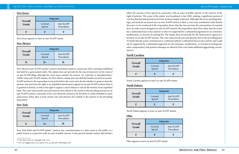#### **New Jersey**

New Jersey appears to have no anti-SLAPP statute.

#### **New Mexico**

New Mexico's anti-SLAPP statute<sup>46</sup> protects statements made in connection with a meeting established and held by a government entity. The statute does not provide for the stay of discovery in the event of an anti-SLAPP filing, although the court must consider the motion "on a priority or expedited basis." Unlike many anti-SLAPP statutes, the New Mexico statute does not shift the burden of proof on an anti-SLAPP motion to the respondent at any point before the court must decide whether to grant or deny the motion. Any party has the right to an expedited interlocutory appeal on an anti-SLAPP motion when it is granted or denied, as well as the right to appeal a court's failure to rule on the motion on an expedited basis. The court must award costs and attorney fees related to the action to the prevailing movant on an anti-SLAPP motion; conversely, if the court finds the motion to be frivolous or solely intended to cause unnecessary delay, then it must award costs and attorney fees related to the motion to the prevailing respondent.

New York State's anti-SLAPP statute<sup>47</sup> protects any communication in a place open to the public or a public forum in connection with an issue of public interest. It also protects lawful conduct that furthers

#### **New York**

either the exercise of free speech in connection with an issue of public interest or the exercise of the right of petition. The scope of the statute was broadened in late 2020, making a significant portion of case law that had interpreted its previous iteration largely irrelevant. Although discovery, pending hearings, and motions are stayed once an anti-SLAPP motion is filed, a court may nonetheless order limited discovery to be conducted if the respondent shows that the stay prevents the presentation of essential facts. In order to prevail against an anti-SLAPP motion, the respondent must show either that the action has a substantial basis in fact and law or that it is supported by a substantial argument for an extension, modification, or reversal of existing law. The statute does not provide for the interlocutory appeal of a decision on an anti-SLAPP motion. The court must award costs and attorney fees to the prevailing party if it finds that the action commenced or continued without a substantial basis in fact and law and could not be supported by a substantial argument for the extension, modification, or reversal of existing law; other compensatory and punitive damages are allowed if the court finds additional aggravating circumstances.

#### **North Carolina**

North Carolina appears to have no anti-SLAPP statute.

#### **North Dakota**

North Dakota appears to have no anti-SLAPP statute.

#### **Ohio**

Ohio appears to have no anti-SLAPP statute.

| APP<br>ires |
|-------------|
|             |

| Overall | Subgrades         |                          |
|---------|-------------------|--------------------------|
| Grade   | Covered<br>Speech | Anti-SLAPP<br>Procedures |
|         |                   |                          |

| Overall | Subgrades         |                          |
|---------|-------------------|--------------------------|
| Grade   | Covered<br>Speech | Anti-SLAPP<br>Procedures |
|         |                   |                          |

| Overall | Subgrades         |                          |
|---------|-------------------|--------------------------|
| Grade   | Covered<br>Speech | Anti-SLAPP<br>Procedures |
|         | $A +$             |                          |

| Overall |                   | Subgrades                |
|---------|-------------------|--------------------------|
| Grade   | Covered<br>Speech | Anti-SLAPP<br>Procedures |
| H       | H                 | н                        |

| Overall<br>Grade |                   | Subgrades           |
|------------------|-------------------|---------------------|
|                  | Covered<br>Speech | Anti-SLA<br>Procedu |
|                  |                   |                     |



|                  | Subgrades         |                      |
|------------------|-------------------|----------------------|
| Overall<br>Grade | Covered<br>Speech | Anti-SLA<br>Procedu: |
| H                | н                 |                      |



<sup>46</sup> N.M. Stat. § 38-2-9.1 through § 38-2-9.2.

<sup>47</sup> N.Y. Civ. Rights Law § 70-a and § 76-a; *see also* NY CPLR Rule 3211.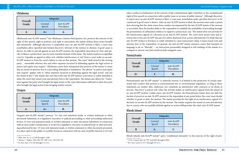#### **Oklahoma**

Oregon's anti-SLAPP statute<sup>50</sup> protects "(1) Any oral statement made, or written statement or other document submitted, in a legislative, executive or judicial proceeding or other proceeding authorized by law; (2) Any oral statement made, or written statement or other document submitted, in connection with an issue under consideration or review by a legislative, executive or judicial body or other proceeding authorized by law; (3) Any oral statement made, or written statement or other document presented, in a place open to the public or a public forum in connection with an issue of public interest; or (4) Any

#### **Oregon**

Pennsylvania's anti-SLAPP statute<sup>51</sup> is relatively narrow; it is limited to the protection of certain statements and conduct that pertain to environmental law or environmental regulation, so long as those statements are neither false, malicious, nor constitute an interference with contracts or an abuse of process. Discovery is stayed only when the movant makes an interlocutory appeal from the denial of an anti-SLAPP motion. Unlike many anti-SLAPP statutes, the Pennsylvania statute does not shift the burden of proof on an anti-SLAPP motion to the respondent at any point before the court must decide whether to grant or deny the motion. The statute provides for the right of an interlocutory appeal of a decision on an anti-SLAPP motion by the movant. The statute requires the award of costs and attorney fees to a party who successfully defends against an action falling under the state's anti-SLAPP statute.

other conduct in furtherance of the exercise of the constitutional right of petition or the constitutional right of free speech in connection with a public issue or an issue of public interest." Although discovery is stayed once an anti-SLAPP motion is filed, a court may nonetheless order specified discovery to be conducted if good cause is shown. After an anti-SLAPP motion is filed, the movant must make a prima facie showing that the claim arises from conduct encompassed by the anti-SLAPP statute; if the movant is successful, then the burden shifts to the respondent to establish the probability of prevailing through the presentation of substantial evidence to support a prima facie case. The statute does not provide for the interlocutory appeal of a decision on an anti-SLAPP motion. The court must award costs and attorney fees to the anti-SLAPP movant if it orders dismissal of an action; alternatively, if it finds that the anti-SLAPP motion is frivolous or solely intended to cause unnecessary delay, it must award costs and attorney fees to the respondent. In general, the anti-SLAPP statute instructs courts that interpret its language to do so "liberally" – an instruction presumably designed to foil readings of the statute in a cramped or narrow way that would exclude marginal cases.

#### **Pennsylvania**

#### **Rhode Island**

| Overall<br>Grade | Subgrades         |                          |
|------------------|-------------------|--------------------------|
|                  | Covered<br>Speech | Anti-SLAPP<br>Procedures |
|                  | $A +$             |                          |

Oklahoma's anti-SLAPP statute,<sup>48</sup> the Oklahoma Citizens Participation Act, protects the exercise of the right of free speech, right to petition, and right to association; the statute defines those terms broadly and extensively. Although discovery is suspended once an anti-SLAPP motion is filed, a court may nonetheless allow specified and limited discovery relevant to the motion to dismiss, if good cause is shown. In order to prevail against an anti-SLAPP motion, the respondent must show by clear and specific evidence a prima facie case for each essential element of the claim. The statute requires an appellate court to "expedite an appeal or other writ, whether interlocutory or not" from a court order on an anti-SLAPP motion or from the court's failure to rule on that motion. The court "shall award to the moving party… reasonable attorney fees and other expenses incurred in defending against the legal action as justice and equity may require." Oklahoma courts have interpreted that portion of the statute to mean that an award of attorney fees to a prevailing defendant is mandatory. The phrase "as justice and equity may require" applies only to "other expenses incurred in defending against the legal action" and not the award of fees.<sup>49</sup> The statute also says that if the anti-SLAPP motion is frivolous or solely intended to delay, the court may award costs and attorney fees to the respondent. The statute also allows for "[s]anctions against the party who brought the legal action as the court determines sufficient to deter the party who brought the legal action from bringing similar actions."

| Overall | Subgrades         |                          |
|---------|-------------------|--------------------------|
| Grade   | Covered<br>Speech | Anti-SLAPP<br>Procedures |
|         | $A +$             | ĸ.                       |

| Overall | Subgrades         |                          |
|---------|-------------------|--------------------------|
| Grade   | Covered<br>Speech | Anti-SLAPP<br>Procedures |
|         | E                 | R-                       |

| Overall<br>Grade |                   | Subgrades           |
|------------------|-------------------|---------------------|
|                  | Covered<br>Speech | Anti-SLA<br>Procedu |
| R                |                   |                     |

Rhode Island's anti-SLAPP statute<sup>52</sup> gives "conditional immunity" to the exercise of the right of peti-



<sup>48</sup> Okla. Stat. tit. 12, § 1430 through § 1440.

<sup>49</sup> *Thacker v. Walton*, 2021 OK CIV APP 5, ¶ 3, 491 P.3d 756.

<sup>50</sup> Or. Rev. Stat. § 31.150 through § 31.155.

<sup>51</sup> 27 Pa. Consol. Stat. §§ 7707 and 8301 through § 8305.

<sup>52</sup> R.I. Gen. Laws § 9-33-1 through § 9-33-4.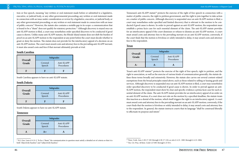tion or free speech, meaning "any written or oral statement made before or submitted to a legislative, executive, or judicial body, or any other governmental proceeding; any written or oral statement made in connection with an issue under consideration or review by a legislative, executive, or judicial body, or any other governmental proceeding; or any written or oral statement made in connection with an issue of public concern." However, the statute also contains a notable gap in its scope: a communication that is found to be a "sham" does not qualify for statutory protection.<sup>53</sup> Although discovery is stayed once an anti-SLAPP motion is filed, a court may nonetheless order specified discovery to be conducted if good cause is shown. Unlike many anti-SLAPP statutes, the Rhode Island statute does not shift the burden of proof on an anti-SLAPP motion to the respondent at any point before the court must decide whether to grant or deny the motion. The statute does not provide for the interlocutory appeal of a decision on an anti-SLAPP motion. The court must award costs and attorney fees to the prevailing anti-SLAPP movant; it must also award costs and fees if that movant ultimately prevails at trial.

## **South Carolina**

South Carolina appears to have no anti-SLAPP statute.

## **South Dakota**

South Dakota appears to have no anti-SLAPP statute.

#### **Tennessee**

Texas's anti-SLAPP statute<sup>55</sup> protects the exercise of the right of free speech, right to petition, and the right to association, as well as the exercise of various kinds of communication generally; the statute defines those terms broadly and extensively. However, the statute also carves out several content-related exemptions from the broad principles stated above, such as those related to selling or leasing goods and services. Although discovery is suspended once an anti-SLAPP motion is filed, a court may nonetheless order specified discovery to be conducted if good cause is shown. In order to prevail against an anti-SLAPP motion, the respondent must show by clear and specific evidence a prima facie case for each essential element of the claim. The anti-SLAPP statute provides for an interlocutory appeal of an order on an anti-SLAPP motion; if a court does not rule on the motion by a specified deadline, the statute treats this inaction as a denial of the motion, which itself triggers the right to an interlocutory appeal. A court must award costs and attorney fees to the prevailing movant on an anti-SLAPP motion; conversely, if the court finds that the motion is frivolous or solely intended to delay, it may award costs and attorney fees to the respondent. In general, the statute instructs courts that its language "shall be construed liberally to effectuate its purpose and intent."

#### **Texas**

 $P<sub>P</sub>$ res

| Overall | Subgrades         |                          |
|---------|-------------------|--------------------------|
| Grade   | Covered<br>Speech | Anti-SLAPP<br>Procedures |
| Н       | H                 |                          |

| Overall | Subgrades         |                          |
|---------|-------------------|--------------------------|
| Grade   | Covered<br>Speech | Anti-SLAPP<br>Procedures |
|         |                   |                          |

| Overall<br>Grade | Subgrades         |                          |
|------------------|-------------------|--------------------------|
|                  | Covered<br>Speech | Anti-SLAPP<br>Procedures |
|                  | $A +$             |                          |

| Overall<br>Grade | Subgrades         |                     |
|------------------|-------------------|---------------------|
|                  | Covered<br>Speech | Anti-SLA<br>Procedu |
|                  |                   |                     |

Tennessee's anti-SLAPP statute<sup>54</sup> protects the exercise of the right of free speech in connection with a matter of public concern, the right to petition government, and the right to join together to take action on a matter of public concern. Although discovery is suspended once an anti-SLAPP motion is filed, a court may nonetheless order specified and limited discovery that is relevant to the motion to be conducted if good cause is shown. In order to prevail against an anti-SLAPP motion, the respondent must establish a prima facie case for each essential element of the claim. The anti-SLAPP statute provides for an interlocutory appeal if the court dismisses or refuses to dismiss an anti-SLAPP motion. A court must award costs and attorney fees to the prevailing movant on an anti-SLAPP motion; conversely, if the court finds that the motion is frivolous or solely intended to delay, it may award costs and attorney fees to the respondent.

<sup>53</sup> R.I. Gen. Laws § 9-33-2. To be a "sham," the communication in question must satisfy a detailed set of criteria so that it is both "objectively baseless" and "subjectively baseless."

<sup>54</sup> Tenn. Code. Ann. § 20-17-101 through § 20-17-110; *see also* § 4-21- 1001 through § 4-21-1004.

<sup>55</sup> Tex. Civ. Prac. & Rem. Code § 27.001 through § 27.011.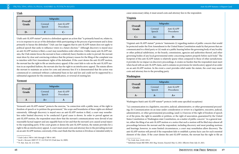Utah's anti-SLAPP statute<sup>56</sup> protects a defendant against an action that "is primarily based on, relates to, or is in response to an act of the defendant while participating in the process of government and is done primarily to harass the defendant." Utah case law suggests that its anti-SLAPP statute does not apply to political speech that seeks to influence voters in a future election.<sup>57</sup> Although discovery is stayed once an anti-SLAPP motion is filed, a court may nonetheless order otherwise. Unlike many anti-SLAPP statutes, the Utah statute forces the movant to bear a relatively heavy burden in order to prevail: the movant must show by clear and convincing evidence that the primary reason for the filing of the complaint was to interfere with First Amendment rights of the defendant. If the court denies the anti-SLAPP motion, the movant has the right to file an interlocutory appeal; if the court fails to rule on the anti-SLAPP motion in an expedited fashion, the movant also has the right to an interlocutory appeal. The statute allows the movant to maintain an action for costs and attorney fees if it is demonstrated that the action was commenced or continued without a substantial basis in fact and law and could not be supported by a substantial argument for the extension, modification, or reversal of existing law.

Vermont's anti-SLAPP statute<sup>58</sup> protects the exercise, "in connection with a public issue, of the right to freedom of speech or to petition the government;" the scope and boundaries of these rights are defined extensively. Although discovery is stayed once an anti-SLAPP motion is filed, a court may nonetheless order limited discovery to be conducted if good cause is shown. In order to prevail against an anti-SLAPP motion, the respondent must show that the movant's communications were devoid of any reasonable factual support and any arguable basis in law and that the movant's acts caused actual injury to the responding party. If the court grants or denies the anti-SLAPP motion, the statute provides for a right to file an interlocutory appeal. A court must award costs and attorney fees to the prevailing movant on an anti-SLAPP motion; conversely, if the court finds that the motion is frivolous or intended solely to

#### **Vermont**

Virginia's anti-SLAPP statute<sup>59</sup> protects "statements (i) regarding matters of public concern that would be protected under the First Amendment to the United States Constitution made by that person that are communicated to a third party or (ii) made at a public hearing before the governing body of any locality or other political subdivision, or the boards, commissions, agencies and authorities thereof, and other governing bodies of any local governmental entity concerning matters properly before such body." The footprint of this anti-SLAPP statute is relatively sparse when compared to those of other jurisdictions: it provides for no impact on discovery proceedings, it creates no burden that the respondent must meet when faced with an anti-SLAPP claim, and it contains no provisions for interlocutory appeal of an order on an anti-SLAPP motion. In the event a court provides relief under the statute, the court may award costs and attorney fees to the prevailing party.

cause unnecessary delay, it must award costs and attorney fees to the respondent.

#### **Virginia**

#### **Washington**

"(a) communication in a legislative, executive, judicial, administrative, or other governmental proceeding; (b) Communication on an issue under consideration or review in a legislative, executive, judicial, administrative, or other governmental proceeding; [and] (c) Exercise of the right of freedom of speech or of the press, the right to assemble or petition, or the right of association, guaranteed by the United States Constitution or Washington state Constitution, on a matter of public concern." As a general matter, either the filing of an anti-SLAPP motion or a notice that such a motion will be filed stays almost all proceedings between the movant and the respondent, including discovery and most pending motions and hearings; however, in some limited circumstances, a court may nonetheless allow discovery. The anti-SLAPP motion will prevail if the respondent fails to establish a prima facie case for each essential element of the claim. If the court denies the anti-SLAPP motion, the movant has the right to file an

| Overall<br>Grade | Subgrades         |                          |
|------------------|-------------------|--------------------------|
|                  | Covered<br>Speech | Anti-SLAPP<br>Procedures |
|                  |                   | r –                      |

|                  |                   | Subgrades                |
|------------------|-------------------|--------------------------|
| Overall<br>Grade | Covered<br>Speech | Anti-SLAPP<br>Procedures |
|                  | $A +$             |                          |

| Overall<br>Grade | Subgrades         |                     |
|------------------|-------------------|---------------------|
|                  | Covered<br>Speech | Anti-SLA<br>Procedu |
| € ∟              | $A +$             |                     |



| Overall<br>Grade |                   | <b>Subgrades</b>    |
|------------------|-------------------|---------------------|
|                  | Covered<br>Speech | Anti-SLA<br>Procedu |
|                  |                   |                     |

Washington State's anti-SLAPP statute<sup>60</sup> protects (with some specified exceptions)



<sup>56</sup> Utah Code § 78B-6-1401 through § 78B-6-1405.

<sup>57</sup> *Jacob v. Bezzant*, 2009 UT 37, 212 P.3d 535 (Utah June 16, 2009).

<sup>58</sup> Vt. Stat. Ann. tit. 12 § 1041.

<sup>59</sup> Va. Code Ann. § 8.01-223.2.

<sup>60</sup> Substitute Senate Bill 5009, 2021 Reg. Session. Enacted: May 12, 2021. Effective Date: July 25, 2021.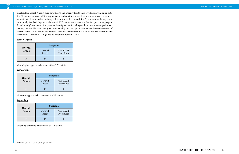interlocutory appeal. A court must award costs and attorney fees to the prevailing movant on an anti-SLAPP motion; conversely, if the respondent prevails on the motion, the court must award costs and attorney fees to the respondent, but only if the court finds that the anti-SLAPP motion was dilatory or not substantially justified. In general, the anti-SLAPP statute instructs courts that interpret its language to do so "broadly" – an instruction presumably designed to foil readings of the statute in a cramped or narrow way that would exclude marginal cases. Notably, this description summarizes the *current* version of the state's anti-SLAPP statute; the *previous* version of the state's anti-SLAPP statute was determined by the Supreme Court of Washington to be unconstitutional in 2015.<sup>61</sup>

### **West Virginia**

West Virginia appears to have no anti-SLAPP statute.

#### **Wisconsin**

Wisconsin appears to have no anti-SLAPP statute.

#### **Wyoming**

Wyoming appears to have no anti-SLAPP statute.

| Overall<br>Grade |                   | Subgrades                |
|------------------|-------------------|--------------------------|
|                  | Covered<br>Speech | Anti-SLAPP<br>Procedures |
| H                |                   | н                        |

|                  |                   | Subgrades                |
|------------------|-------------------|--------------------------|
| Overall<br>Grade | Covered<br>Speech | Anti-SLAPP<br>Procedures |
|                  |                   |                          |

| Overall<br>Grade |                   | Subgrades                |
|------------------|-------------------|--------------------------|
|                  | Covered<br>Speech | Anti-SLAPP<br>Procedures |
| H                |                   | H                        |

<sup>61</sup> *Davis v. Cox*, 351 P.3d 862, 875. (Wash. 2015).